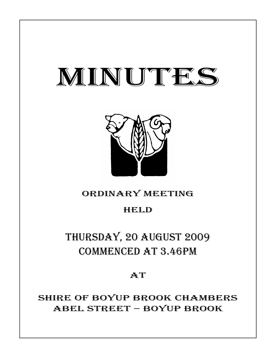# MINUTES



# ORDINARY MEETING

# HELD

# THURSDAY, 20 AUGUST 2009 COMMENCED AT 3.46PM

## **AT**

SHIRE OF BOYUP BROOK CHAMBERS ABEL STREET – BOYUP BROOK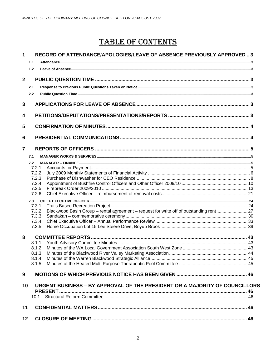# **TABLE OF CONTENTS**

| $\mathbf{1}$   |                | RECORD OF ATTENDANCE/APOLOGIES/LEAVE OF ABSENCE PREVIOUSLY APPROVED  3                 |  |
|----------------|----------------|----------------------------------------------------------------------------------------|--|
|                | 1.1            |                                                                                        |  |
|                | 1.2            |                                                                                        |  |
| $\overline{2}$ |                |                                                                                        |  |
|                | 2.1            |                                                                                        |  |
|                | 2.2            |                                                                                        |  |
|                |                |                                                                                        |  |
| 3              |                |                                                                                        |  |
| 4              |                |                                                                                        |  |
| 5              |                |                                                                                        |  |
| 6              |                |                                                                                        |  |
| $\overline{7}$ |                |                                                                                        |  |
|                | 7.1            |                                                                                        |  |
|                | 7.2            |                                                                                        |  |
|                | 7.2.1          |                                                                                        |  |
|                | 7.2.2          |                                                                                        |  |
|                | 7.2.3          |                                                                                        |  |
|                | 7.2.4          |                                                                                        |  |
|                | 7.2.5<br>7.2.6 |                                                                                        |  |
|                |                |                                                                                        |  |
|                | 7.3<br>7.3.1   |                                                                                        |  |
|                | 7.3.2          | Blackwood Basin Group - rental agreement - request for write off of outstanding rent27 |  |
|                | 7.3.3          |                                                                                        |  |
|                | 7.3.4          |                                                                                        |  |
|                | 7.3.5          |                                                                                        |  |
| 8              |                |                                                                                        |  |
|                | 8.1.1          |                                                                                        |  |
|                | 8.1.2          |                                                                                        |  |
|                | 8.1.3          |                                                                                        |  |
|                | 8.1.4          |                                                                                        |  |
|                | 8.1.5          |                                                                                        |  |
| 9              |                |                                                                                        |  |
| 10             |                | URGENT BUSINESS - BY APPROVAL OF THE PRESIDENT OR A MAJORITY OF COUNCILLORS            |  |
|                |                |                                                                                        |  |
|                |                |                                                                                        |  |
| 11             |                |                                                                                        |  |
| 12             |                |                                                                                        |  |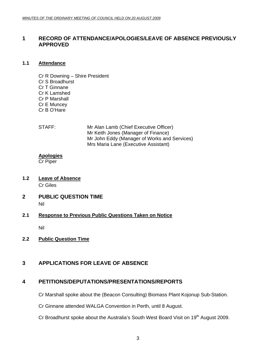### <span id="page-2-0"></span>**1 RECORD OF ATTENDANCE/APOLOGIES/LEAVE OF ABSENCE PREVIOUSLY APPROVED**

#### **1.1 Attendance**

- Cr R Downing Shire President Cr S Broadhurst Cr T Ginnane Cr K Lamshed Cr P Marshall Cr E Muncey Cr B O'Hare
- STAFF: Mr Alan Lamb (Chief Executive Officer) Mr Keith Jones (Manager of Finance) Mr John Eddy (Manager of Works and Services) Mrs Maria Lane (Executive Assistant)

#### **Apologies**

Cr Piper

- **1.2 Leave of Absence** Cr Giles
- **2 PUBLIC QUESTION TIME**  Nil

#### **2.1 Response to Previous Public Questions Taken on Notice**

Nil

**2.2 Public Question Time**

### **3 APPLICATIONS FOR LEAVE OF ABSENCE**

### **4 PETITIONS/DEPUTATIONS/PRESENTATIONS/REPORTS**

Cr Marshall spoke about the (Beacon Consulting) Biomass Plant Kojonup Sub-Station.

Cr Ginnane attended WALGA Convention in Perth, until 8 August.

Cr Broadhurst spoke about the Australia's South West Board Visit on 19<sup>th</sup> August 2009.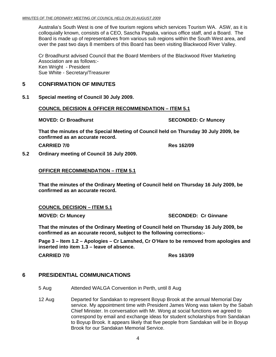<span id="page-3-0"></span>Australia's South West is one of five tourism regions which services Tourism WA. ASW, as it is colloquially known, consists of a CEO, Sascha Papalia, various office staff, and a Board. The Board is made up of representatives from various sub regions within the South West area, and over the past two days 8 members of this Board has been visiting Blackwood River Valley.

Cr Broadhurst advised Council that the Board Members of the Blackwood River Marketing Association are as follows:- Ken Wright - President Sue White - Secretary/Treasurer

### **5 CONFIRMATION OF MINUTES**

**5.1 Special meeting of Council 30 July 2009.** 

### **COUNCIL DECISION & OFFICER RECOMMENDATION – ITEM 5.1**

**MOVED: Cr Broadhurst SECONDED: Cr Muncey SECONDED: Cr Muncey** 

**That the minutes of the Special Meeting of Council held on Thursday 30 July 2009, be confirmed as an accurate record.** 

**CARRIED 7/0 Res 162/09** 

**5.2 Ordinary meeting of Council 16 July 2009.** 

### **OFFICER RECOMMENDATION – ITEM 5.1**

**That the minutes of the Ordinary Meeting of Council held on Thursday 16 July 2009, be confirmed as an accurate record.** 

#### **COUNCIL DECISION – ITEM 5.1**

**MOVED: Cr Muncey Case Conducts Account SECONDED: Cr Ginnane** 

**That the minutes of the Ordinary Meeting of Council held on Thursday 16 July 2009, be confirmed as an accurate record, subject to the following corrections:-** 

**Page 3 – Item 1.2 – Apologies – Cr Lamshed, Cr O'Hare to be removed from apologies and inserted into item 1.3 – leave of absence.** 

**CARRIED 7/0 Res 163/09** 

### **6 PRESIDENTIAL COMMUNICATIONS**

- 5 Aug Attended WALGA Convention in Perth, until 8 Aug
- 12 Aug Departed for Sandakan to represent Boyup Brook at the annual Memorial Day service. My appointment time with President James Wong was taken by the Sabah Chief Minister. In conversation with Mr. Wong at social functions we agreed to correspond by email and exchange ideas for student scholarships from Sandakan to Boyup Brook. It appears likely that five people from Sandakan will be in Boyup Brook for our Sandakan Memorial Service.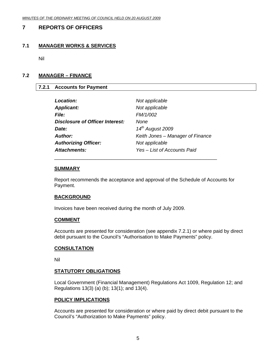<span id="page-4-0"></span>*MINUTES OF THE ORDINARY MEETING OF COUNCIL HELD ON 20 AUGUST 2009*

### **7 REPORTS OF OFFICERS**

#### **7.1 MANAGER WORKS & SERVICES**

Nil

#### **7.2 MANAGER – FINANCE**

#### **7.2.1 Accounts for Payment**

| Location:                              | Not applicable                   |
|----------------------------------------|----------------------------------|
| <b>Applicant:</b>                      | Not applicable                   |
| <b>File:</b>                           | FM/1/002                         |
| <b>Disclosure of Officer Interest:</b> | None                             |
| Date:                                  | $14th$ August 2009               |
| Author:                                | Keith Jones - Manager of Finance |
| <b>Authorizing Officer:</b>            | Not applicable                   |
| <b>Attachments:</b>                    | Yes - List of Accounts Paid      |

#### **SUMMARY**

Report recommends the acceptance and approval of the Schedule of Accounts for Payment.

#### **BACKGROUND**

Invoices have been received during the month of July 2009.

\_\_\_\_\_\_\_\_\_\_\_\_\_\_\_\_\_\_\_\_\_\_\_\_\_\_\_\_\_\_\_\_\_\_\_\_\_\_\_\_\_\_\_\_\_\_\_\_\_\_\_\_\_\_\_\_\_\_\_

#### **COMMENT**

Accounts are presented for consideration (see appendix 7.2.1) or where paid by direct debit pursuant to the Council's "Authorisation to Make Payments" policy.

#### **CONSULTATION**

Nil

#### **STATUTORY OBLIGATIONS**

Local Government (Financial Management) Regulations Act 1009, Regulation 12; and Regulations 13(3) (a) (b); 13(1); and 13(4).

#### **POLICY IMPLICATIONS**

Accounts are presented for consideration or where paid by direct debit pursuant to the Council's "Authorization to Make Payments" policy.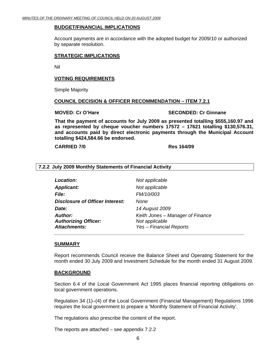#### <span id="page-5-0"></span>**BUDGET/FINANCIAL IMPLICATIONS**

Account payments are in accordance with the adopted budget for 2009/10 or authorized by separate resolution.

#### **STRATEGIC IMPLICATIONS**

Nil

#### **VOTING REQUIREMENTS**

Simple Majority

#### **COUNCIL DECISION & OFFICER RECOMMENDATION – ITEM 7.2.1**

#### **MOVED: Cr O'Hare Canadian Cr Cr Ginnane SECONDED: Cr Ginnane**

**That the payment of accounts for July 2009 as presented totalling \$555,160.97 and as represented by cheque voucher numbers 17572 – 17621 totalling \$130,576.31, and accounts paid by direct electronic payments through the Municipal Account totalling \$424,584.66 be endorsed.** 

**CARRIED 7/0 Res 164/09** 

#### **7.2.2 July 2009 Monthly Statements of Financial Activity**

| Location:                                                            | Not applicable                                                                       |
|----------------------------------------------------------------------|--------------------------------------------------------------------------------------|
| <b>Applicant:</b>                                                    | Not applicable                                                                       |
| <i>File:</i>                                                         | FM/10/003                                                                            |
| <b>Disclosure of Officer Interest:</b>                               | None                                                                                 |
| Date:                                                                | 14 August 2009                                                                       |
| <b>Author:</b><br><b>Authorizing Officer:</b><br><b>Attachments:</b> | Keith Jones - Manager of Finance<br>Not applicable<br><b>Yes - Financial Reports</b> |
|                                                                      |                                                                                      |

#### **SUMMARY**

Report recommends Council receive the Balance Sheet and Operating Statement for the month ended 30 July 2009 and Investment Schedule for the month ended 31 August 2009.

#### **BACKGROUND**

Section 6.4 of the Local Government Act 1995 places financial reporting obligations on local government operations.

Regulation 34 (1)–(4) of the Local Government (Financial Management) Regulations 1996 requires the local government to prepare a 'Monthly Statement of Financial Activity'.

The regulations also prescribe the content of the report.

The reports are attached – see appendix 7.2.2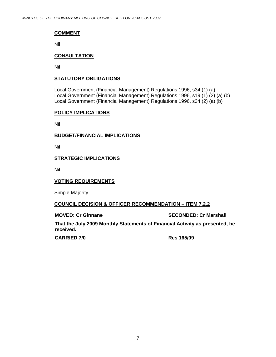#### **COMMENT**

Nil

#### **CONSULTATION**

Nil

#### **STATUTORY OBLIGATIONS**

Local Government (Financial Management) Regulations 1996, s34 (1) (a) Local Government (Financial Management) Regulations 1996, s19 (1) (2) (a) (b) Local Government (Financial Management) Regulations 1996, s34 (2) (a) (b)

#### **POLICY IMPLICATIONS**

Nil

#### **BUDGET/FINANCIAL IMPLICATIONS**

Nil

#### **STRATEGIC IMPLICATIONS**

Nil

#### **VOTING REQUIREMENTS**

Simple Majority

#### **COUNCIL DECISION & OFFICER RECOMMENDATION – ITEM 7.2.2**

**MOVED: Cr Ginnane SECONDED: Cr Marshall** 

**That the July 2009 Monthly Statements of Financial Activity as presented, be received.** 

**CARRIED 7/0 Res 165/09**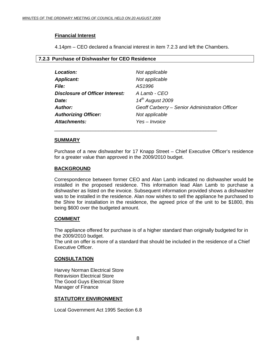#### <span id="page-7-0"></span>**Financial Interest**

4.14pm – CEO declared a financial interest in item 7.2.3 and left the Chambers.

#### **7.2.3 Purchase of Dishwasher for CEO Residence**

| <b>Location:</b>                       | Not applicable                                 |
|----------------------------------------|------------------------------------------------|
| <b>Applicant:</b>                      | Not applicable                                 |
| <b>File:</b>                           | AS1996                                         |
| <b>Disclosure of Officer Interest:</b> | A Lamb - CEO                                   |
| Date:                                  | 14 <sup>th</sup> August 2009                   |
| Author:                                | Geoff Carberry - Senior Administration Officer |
| <b>Authorizing Officer:</b>            | Not applicable                                 |
| Attachments:                           | Yes - Invoice                                  |
|                                        |                                                |

#### **SUMMARY**

Purchase of a new dishwasher for 17 Knapp Street – Chief Executive Officer's residence for a greater value than approved in the 2009/2010 budget.

#### **BACKGROUND**

Correspondence between former CEO and Alan Lamb indicated no dishwasher would be installed in the proposed residence. This information lead Alan Lamb to purchase a dishwasher as listed on the invoice. Subsequent information provided shows a dishwasher was to be installed in the residence. Alan now wishes to sell the appliance he purchased to the Shire for installation in the residence, the agreed price of the unit to be \$1800, this being \$600 over the budgeted amount.

#### **COMMENT**

The appliance offered for purchase is of a higher standard than originally budgeted for in the 2009/2010 budget.

The unit on offer is more of a standard that should be included in the residence of a Chief Executive Officer.

#### **CONSULTATION**

Harvey Norman Electrical Store Retravision Electrical Store The Good Guys Electrical Store Manager of Finance

#### **STATUTORY ENVIRONMENT**

Local Government Act 1995 Section 6.8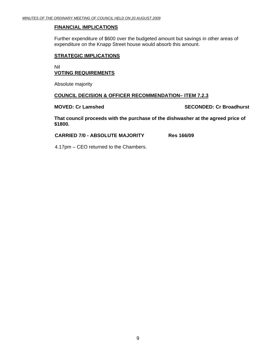#### **FINANCIAL IMPLICATIONS**

Further expenditure of \$600 over the budgeted amount but savings in other areas of expenditure on the Knapp Street house would absorb this amount.

#### **STRATEGIC IMPLICATIONS**

Nil **VOTING REQUIREMENTS**

Absolute majority

#### **COUNCIL DECISION & OFFICER RECOMMENDATION– ITEM 7.2.3**

**MOVED: Cr Lamshed SECONDED: Cr Broadhurst** 

**That council proceeds with the purchase of the dishwasher at the agreed price of \$1800.** 

 **CARRIED 7/0 - ABSOLUTE MAJORITY Res 166/09** 

4.17pm – CEO returned to the Chambers.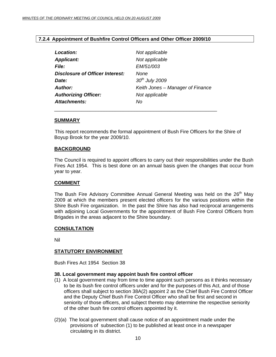#### <span id="page-9-0"></span>**7.2.4 Appointment of Bushfire Control Officers and Other Officer 2009/10**

\_\_\_\_\_\_\_\_\_\_\_\_\_\_\_\_\_\_\_\_\_\_\_\_\_\_\_\_\_\_\_\_\_\_\_\_\_\_\_\_\_\_\_\_\_\_\_\_\_\_\_\_\_\_\_\_\_\_\_

| Location:                       | Not applicable                   |
|---------------------------------|----------------------------------|
| <b>Applicant:</b>               | Not applicable                   |
| <i>File:</i>                    | EM/51/003                        |
| Disclosure of Officer Interest: | None                             |
| Date:                           | $30th$ July 2009                 |
| Author:                         | Keith Jones – Manager of Finance |
| <b>Authorizing Officer:</b>     | Not applicable                   |
| <b>Attachments:</b>             | Νo                               |

#### **SUMMARY**

This report recommends the formal appointment of Bush Fire Officers for the Shire of Boyup Brook for the year 2009/10.

#### **BACKGROUND**

The Council is required to appoint officers to carry out their responsibilities under the Bush Fires Act 1954. This is best done on an annual basis given the changes that occur from year to year.

#### **COMMENT**

The Bush Fire Advisory Committee Annual General Meeting was held on the  $26<sup>th</sup>$  May 2009 at which the members present elected officers for the various positions within the Shire Bush Fire organization. In the past the Shire has also had reciprocal arrangements with adjoining Local Governments for the appointment of Bush Fire Control Officers from Brigades in the areas adjacent to the Shire boundary.

#### **CONSULTATION**

Nil

#### **STATUTORY ENVIRONMENT**

Bush Fires Act 1954 Section 38

#### **38. Local government may appoint bush fire control officer**

- (1) A local government may from time to time appoint such persons as it thinks necessary to be its bush fire control officers under and for the purposes of this Act, and of those officers shall subject to section 38A(2) appoint 2 as the Chief Bush Fire Control Officer and the Deputy Chief Bush Fire Control Officer who shall be first and second in seniority of those officers, and subject thereto may determine the respective seniority of the other bush fire control officers appointed by it.
- (2)(a) The local government shall cause notice of an appointment made under the provisions of subsection (1) to be published at least once in a newspaper circulating in its district.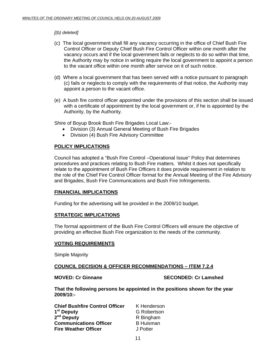#### *[(b) deleted]*

- (c) The local government shall fill any vacancy occurring in the office of Chief Bush Fire Control Officer or Deputy Chief Bush Fire Control Officer within one month after the vacancy occurs and if the local government fails or neglects to do so within that time, the Authority may by notice in writing require the local government to appoint a person to the vacant office within one month after service on it of such notice.
- (d) Where a local government that has been served with a notice pursuant to paragraph (c) fails or neglects to comply with the requirements of that notice, the Authority may appoint a person to the vacant office.
- (e) A bush fire control officer appointed under the provisions of this section shall be issued with a certificate of appointment by the local government or, if he is appointed by the Authority, by the Authority.

Shire of Boyup Brook Bush Fire Brigades Local Law:-

- Division (3) Annual General Meeting of Bush Fire Brigades
- Division (4) Bush Fire Advisory Committee

#### **POLICY IMPLICATIONS**

Council has adopted a "Bush Fire Control –Operational Issue" Policy that determines procedures and practices relating to Bush Fire matters. Whilst it does not specifically relate to the appointment of Bush Fire Officers it does provide requirement in relation to the role of the Chief Fire Control Officer format for the Annual Meeting of the Fire Advisory and Brigades, Bush Fire Communications and Bush Fire Infringements.

#### **FINANCIAL IMPLICATIONS**

Funding for the advertising will be provided in the 2009/10 budget.

#### **STRATEGIC IMPLICATIONS**

The formal appointment of the Bush Fire Control Officers will ensure the objective of providing an effective Bush Fire organization to the needs of the community.

#### **VOTING REQUIREMENTS**

Simple Majority

#### **COUNCIL DECISION & OFFICER RECOMMENDATIONS – ITEM 7.2.4**

#### **MOVED: Cr Ginnane SECONDED: Cr Lamshed**

**That the following persons be appointed in the positions shown for the year 2009/10:-** 

| <b>Chief Bushfire Control Officer</b> | K Henderson        |
|---------------------------------------|--------------------|
| 1 <sup>st</sup> Deputy                | <b>G</b> Robertson |
| 2 <sup>nd</sup> Deputy                | R Bingham          |
| <b>Communications Officer</b>         | <b>B</b> Huisman   |
| <b>Fire Weather Officer</b>           | J Potter           |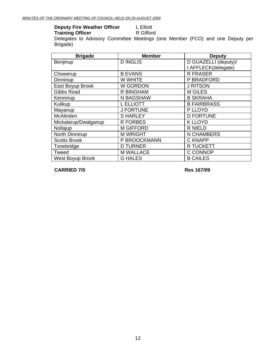**Deputy Fire Weather Officer** L Elliott<br> **Training Officer** R Gifford

**Training Officer** 

Delegates to Advisory Committee Meetings (one Member (FCO) and one Deputy per Brigade)

| <b>Brigade</b>       | <b>Member</b>    | <b>Deputy</b>        |
|----------------------|------------------|----------------------|
| Benjinup             | <b>D INGLIS</b>  | D GUAZELLI (deputy)/ |
|                      |                  | I AFFLECK(delegate)  |
| Chowerup             | <b>B EVANS</b>   | <b>R FRASER</b>      |
| Dinninup             | W WHITE          | P BRADFORD           |
| East Boyup Brook     | W GORDON         | <b>J RITSON</b>      |
| Gibbs Road           | R BINGHAM        | <b>M GILES</b>       |
| Kenninup             | N BAGSHAW        | <b>B SKRAHA</b>      |
| Kulikup              | <b>L ELLIOTT</b> | <b>B FAIRBRASS</b>   |
| Mayanup              | <b>J FORTUNE</b> | P LLOYD              |
| McAlinden            | <b>SHARLEY</b>   | <b>D FORTUNE</b>     |
| Mickalarup/Dwalganup | <b>R FORBES</b>  | <b>K LLOYD</b>       |
| Nollajup             | <b>M GIFFORD</b> | R NIELD              |
| North Dinninup       | <b>M WRIGHT</b>  | N CHAMBERS           |
| <b>Scotts Brook</b>  | P BROOCKMANN     | <b>C KNAPP</b>       |
| Tonebridge           | <b>D TURNER</b>  | <b>R TUCKETT</b>     |
| Tweed                | <b>M WALLACE</b> | C CONNOP             |
| West Boyup Brook     | <b>G HALES</b>   | <b>B CAILES</b>      |

**CARRIED 7/0 Res 167/09**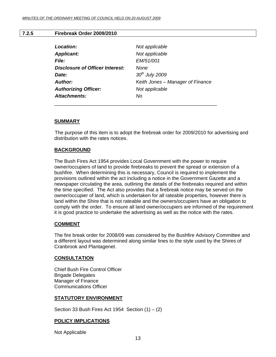#### <span id="page-12-0"></span>**7.2.5 Firebreak Order 2009/2010**

| Location:                       | Not applicable                   |
|---------------------------------|----------------------------------|
| <b>Applicant:</b>               | Not applicable                   |
| <b>File:</b>                    | EM/51/001                        |
| Disclosure of Officer Interest: | None                             |
| Date:                           | $30th$ July 2009                 |
| Author:                         | Keith Jones – Manager of Finance |
| <b>Authorizing Officer:</b>     | Not applicable                   |
| Attachments:                    | Νo                               |

\_\_\_\_\_\_\_\_\_\_\_\_\_\_\_\_\_\_\_\_\_\_\_\_\_\_\_\_\_\_\_\_\_\_\_\_\_\_\_\_\_\_\_\_\_\_\_\_\_\_\_\_\_\_\_\_\_\_\_

#### **SUMMARY**

The purpose of this item is to adopt the firebreak order for 2009/2010 for advertising and distribution with the rates notices.

#### **BACKGROUND**

The Bush Fires Act 1954 provides Local Government with the power to require owner/occupiers of land to provide firebreaks to prevent the spread or extension of a bushfire. When determining this is necessary, Council is required to implement the provisions outlined within the act including a notice in the Government Gazette and a newspaper circulating the area, outlining the details of the firebreaks required and within the time specified. The Act also provides that a firebreak notice may be served on the owner/occupier of land, which is undertaken for all rateable properties, however there is land within the Shire that is not rateable and the owners/occupiers have an obligation to comply with the order. To ensure all land owner/occupiers are informed of the requirement it is good practice to undertake the advertising as well as the notice with the rates.

#### **COMMENT**

The fire break order for 2008/09 was considered by the Bushfire Advisory Committee and a different layout was determined along similar lines to the style used by the Shires of Cranbrook and Plantagenet.

#### **CONSULTATION**

Chief Bush Fire Control Officer Brigade Delegates Manager of Finance Communications Officer

#### **STATUTORY ENVIRONMENT**

Section 33 Bush Fires Act 1954 Section  $(1) - (2)$ 

#### **POLICY IMPLICATIONS**

Not Applicable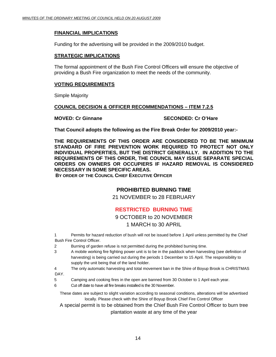#### **FINANCIAL IMPLICATIONS**

Funding for the advertising will be provided in the 2009/2010 budget.

#### **STRATEGIC IMPLICATIONS**

The formal appointment of the Bush Fire Control Officers will ensure the objective of providing a Bush Fire organization to meet the needs of the community.

#### **VOTING REQUIREMENTS**

Simple Majority

#### **COUNCIL DECISION & OFFICER RECOMMENDATIONS – ITEM 7.2.5**

#### **MOVED: Cr Ginnane SECONDED: Cr O'Hare**

**That Council adopts the following as the Fire Break Order for 2009/2010 year:-** 

**THE REQUIREMENTS OF THIS ORDER ARE CONSIDERED TO BE THE MINIMUM STANDARD OF FIRE PREVENTION WORK REQUIRED TO PROTECT NOT ONLY INDIVIDUAL PROPERTIES, BUT THE DISTRICT GENERALLY. IN ADDITION TO THE REQUIREMENTS OF THIS ORDER, THE COUNCIL MAY ISSUE SEPARATE SPECIAL ORDERS ON OWNERS OR OCCUPIERS IF HAZARD REMOVAL IS CONSIDERED NECESSARY IN SOME SPECIFIC AREAS.** 

**BY ORDER OF THE COUNCIL CHIEF EXECUTIVE OFFICER**

### **PROHIBITED BURNING TIME**

21 NOVEMBER to 28 FEBRUARY

### **RESTRICTED BURNING TIME**

### 9 OCTOBER to 20 NOVEMBER

#### 1 MARCH to 30 APRIL

1 Permits for hazard reduction of bush will not be issued before 1 April unless permitted by the Chief Bush Fire Control Officer.

- 2 Burning of garden refuse is not permitted during the prohibited burning time.
- 3 A mobile working fire fighting power unit is to be in the paddock when harvesting (see definition of harvesting) is being carried out during the periods 1 December to 15 April. The responsibility to supply the unit being that of the land holder.
- 4 The only automatic harvesting and total movement ban in the Shire of Boyup Brook is CHRISTMAS DAY.
- 5 Camping and cooking fires in the open are banned from 30 October to 1 April each year.
- 6 Cut off date to have all fire breaks installed is the 30 November.

These dates are subject to slight variation according to seasonal conditions, alterations will be advertised locally. Please check with the Shire of Boyup Brook Chief Fire Control Officer

A special permit is to be obtained from the Chief Bush Fire Control Officer to burn tree plantation waste at any time of the year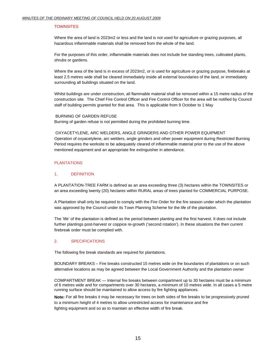#### **TOWNSITES**

Where the area of land is 2023m2 or less and the land is not used for agriculture or grazing purposes, all hazardous inflammable materials shall be removed from the whole of the land.

For the purposes of this order, inflammable materials does not include live standing trees, cultivated plants, shrubs or gardens.

Where the area of the land is in excess of 2023m2, or is used for agriculture or grazing purpose, firebreaks at least 2.5 metres wide shall be cleared immediately inside all external boundaries of the land, or immediately surrounding all buildings situated on the land.

Whilst buildings are under construction, all flammable material shall be removed within a 15 metre radius of the construction site. The Chief Fire Control Officer and Fire Control Officer for the area will be notified by Council staff of building permits granted for that area. This is applicable from 9 October to 1 May

 BURNING OF GARDEN REFUSE Burning of garden refuse is not permitted during the prohibited burning time.

 OXYACETYLENE, ARC WELDERS, ANGLE GRINDERS AND OTHER POWER EQUIPMENT Operation of oxyacetylene, arc welders, angle grinders and other power equipment during Restricted Burning Period requires the worksite to be adequately cleared of inflammable material prior to the use of the above mentioned equipment and an appropriate fire extinguisher in attendance.

#### PLANTATIONS

#### 1. DEFINITION

A PLANTATION-TREE FARM is defined as an area exceeding three (3) hectares within the TOWNSITES or an area exceeding twenty (20) hectares within RURAL areas of trees planted for COMMERCIAL PURPOSE.

A Plantation shall only be required to comply with the Fire Order for the fire season under which the plantation was approved by the Council under its Town Planning Scheme for the life of the plantation.

The 'life' of the plantation is defined as the period between planting and the first harvest. It does not include further plantings post-harvest or coppice re-growth ('second rotation'). In these situations the then current firebreak order must be complied with.

#### 2. SPECIFICATIONS

The following fire break standards are required for plantations.

BOUNDARY BREAKS – Fire breaks constructed 15 metres wide on the boundaries of plantations or on such alternative locations as may be agreed between the Local Government Authority and the plantation owner

COMPARTMENT BREAK — Internal fire breaks between compartment up to 30 hectares must be a minimum of 6 metres wide and for compartments over 30 hectares, a minimum of 10 metres wide. In all cases a 5 metre running surface should be maintained to allow access by fire fighting appliances.

**Note:** For all fire breaks it may be necessary for trees on both sides of fire breaks to be progressively pruned to a minimum height of 4 metres to allow unrestricted access for maintenance and fire fighting equipment and so as to maintain an effective width of fire break.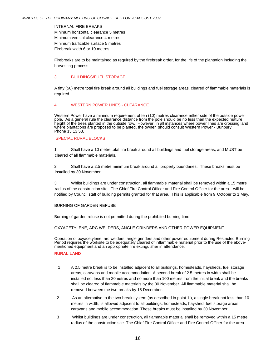INTERNAL FIRE BREAKS Minimum horizontal clearance 5 metres Minimum vertical clearance 4 metres Minimum trafficable surface 5 metres Firebreak width 6 or 10 metres

Firebreaks are to be maintained as required by the firebreak order, for the life of the plantation including the harvesting process.

#### 3. BUILDINGS/FUEL STORAGE

A fifty (50) metre total fire break around all buildings and fuel storage areas, cleared of flammable materials is required.

#### 4. WESTERN POWER LINES - CLEARANCE

Western Power have a minimum requirement of ten (10) metres clearance either side of the outside power pole. As a general rule the clearance distance from the pole should be no less than the expected mature height of the trees planted in the outside row. However, in all instances where power lines are crossing land where plantations are proposed to be planted, the owner should consult Western Power - Bunbury, Phone 13 13 53.

#### SPECIAL RURAL BLOCKS

1 Shall have a 10 metre total fire break around all buildings and fuel storage areas, and MUST be cleared of all flammable materials.

2 Shall have a 2.5 metre minimum break around all property boundaries. These breaks must be installed by 30 November.

3 Whilst buildings are under construction, all flammable material shall be removed within a 15 metre radius of the construction site. The Chief Fire Control Officer and Fire Control Officer for the area will be notified by Council staff of building permits granted for that area. This is applicable from 9 October to 1 May.

#### BURNING OF GARDEN REFUSE

Burning of garden refuse is not permitted during the prohibited burning time.

#### OXYACETYLENE, ARC WELDERS, ANGLE GRINDERS AND OTHER POWER EQUIPMENT

Operation of oxyacetylene, arc welders, angle grinders and other power equipment during Restricted Burning Period requires the worksite to be adequately cleared of inflammable material prior to the use of the abovementioned equipment and an appropriate fire extinguisher in attendance.

#### **RURAL LAND**

- 1 A 2.5 metre break is to be installed adjacent to all buildings, homesteads, haysheds, fuel storage areas, caravans and mobile accommodation. A second break of 2.5 metres in width shall be installed not less than 20metres and no more than 100 metres from the initial break and the breaks shall be cleared of flammable materials by the 30 November. All flammable material shall be removed between the two breaks by 15 December.
- 2 As an alternative to the two break system (as described in point 1.), a single break not less than 10 metres in width, is allowed adjacent to all buildings, homesteads, hayshed, fuel storage areas, caravans and mobile accommodation. These breaks must be installed by 30 November.
- 3 Whilst buildings are under construction, all flammable material shall be removed within a 15 metre radius of the construction site. The Chief Fire Control Officer and Fire Control Officer for the area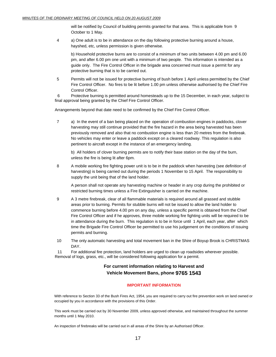will be notified by Council of building permits granted for that area. This is applicable from 9 October to 1 May.

4 a) One adult is to be in attendance on the day following protective burning around a house, hayshed, etc, unless permission is given otherwise.

 b) Household protective burns are to consist of a minimum of two units between 4.00 pm and 6.00 pm, and after 6.00 pm one unit with a minimum of two people. This information is intended as a guide only. The Fire Control Officer in the brigade area concerned must issue a permit for any protective burning that is to be carried out.

5 Permits will not be issued for protective burning of bush before 1 April unless permitted by the Chief Fire Control Officer. No fires to be lit before 1.00 pm unless otherwise authorised by the Chief Fire Control Officer.

6 Protective burning is permitted around homesteads up to the 15 December, in each year, subject to final approval being granted by the Chief Fire Control Officer.

Arrangements beyond that date need to be confirmed by the Chief Fire Control Officer.

7 a) In the event of a ban being placed on the operation of combustion engines in paddocks, clover harvesting may still continue provided that the fire hazard in the area being harvested has been previously removed and also that no combustion engine is less than 20 metres from the firebreak. No vehicles may enter or leave a paddock except on a cleared roadway. This regulation is also pertinent to aircraft except in the instance of an emergency landing.

 b) All holders of clover burning permits are to notify their base station on the day of the burn, unless the fire is being lit after 6pm.

8 A mobile working fire fighting power unit is to be in the paddock when harvesting (see definition of harvesting) is being carried out during the periods 1 November to 15 April. The responsibility to supply the unit being that of the land holder.

 A person shall not operate any harvesting machine or header in any crop during the prohibited or restricted burning times unless a Fire Extinguisher is carried on the machine.

- 9 A 3 metre firebreak, clear of all flammable materials is required around all grassed and stubble areas prior to burning. Permits for stubble burns will not be issued to allow the land holder to commence burning before 4.00 pm on any day, unless a specific permit is obtained from the Chief Fire Control Officer and if he approves, three mobile working fire fighting units will be required to be in attendance during the burn. This regulation is to be in force until 1 April, each year, after which time the Brigade Fire Control Officer be permitted to use his judgement on the conditions of issuing permits and burning.
- 10 The only automatic harvesting and total movement ban in the Shire of Boyup Brook is CHRISTMAS DAY.

11 For additional fire protection, land holders are urged to clean up roadsides wherever possible. Removal of logs, grass, etc., will be considered following application for a permit.

#### **For current information relating to Harvest and Vehicle Movement Bans, phone 9765 1543**

#### **IMPORTANT INFORMATION**

With reference to Section 33 of the Bush Fires Act, 1954, you are required to carry out fire prevention work on land owned or occupied by you in accordance with the provisions of this Order.

This work must be carried out by 30 November 2009, unless approved otherwise, and maintained throughout the summer months until 1 May 2010.

An inspection of firebreaks will be carried out in all areas of the Shire by an Authorised Officer.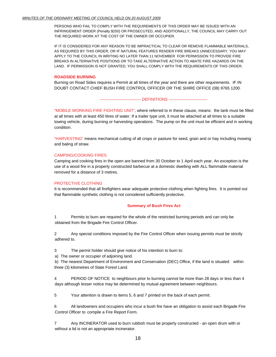PERSONS WHO FAIL TO COMPLY WITH THE REQUIREMENTS OF THIS ORDER MAY BE ISSUED WITH AN INFRINGEMENT ORDER (Penalty \$250) OR PROSECUTED, AND ADDITIONALLY, THE COUNCIL MAY CARRY OUT THE REQUIRED WORK AT THE COST OF THE OWNER OR OCCUPIER.

IF IT IS CONSIDERED FOR ANY REASON TO BE IMPRACTICAL TO CLEAR OR REMOVE FLAMMABLE MATERIALS, AS REQUIRED BY THIS ORDER, OR IF NATURAL FEATURES RENDER FIRE BREAKS UNNECESSARY, YOU MAY APPLY TO THE COUNCIL IN WRITING NO LATER THAN 11 NOVEMBER FOR PERMISSION TO PROVIDE FIRE BREAKS IN ALTERNATIVE POSITIONS OR TO TAKE ALTERNATIVE ACTION TO ABATE FIRE HAZARDS ON THE LAND. IF PERMISSION IS NOT GRANTED, YOU SHALL COMPLY WITH THE REQUIREMENTS OF THIS ORDER.

#### **ROADSIDE BURNING**

Burning on Road Sides requires a Permit at all times of the year and there are other requirements. IF IN DOUBT CONTACT CHIEF BUSH FIRE CONTROL OFFICER OR THE SHIRE OFFICE (08) 9765 1200.

"MOBILE WORKING FIRE FIGHTING UNIT", where referred to in these clause, means: the tank must be filled at all times with at least 450 litres of water. If a trailer type unit, it must be attached at all times to a suitable towing vehicle, during burning or harvesting operations. The pump on the unit must be efficient and in working condition.

 $-$  DEFINITIONS  $-$ 

"HARVESTING" means mechanical cutting of all crops or pasture for seed, grain and or hay including mowing and baling of straw.

#### CAMPING/COOKING FIRES

Camping and cooking fires in the open are banned from 30 October to 1 April each year. An exception is the use of a wood fire in a properly constructed barbecue at a domestic dwelling with ALL flammable material removed for a distance of 3 metres.

#### PROTECTIVE CLOTHING

It is recommended that all firefighters wear adequate protective clothing when fighting fires. It is pointed out that flammable synthetic clothing is not considered sufficiently protective.

#### **Summary of Bush Fires Act**

1 Permits to burn are required for the whole of the restricted burning periods and can only be obtained from the Brigade Fire Control Officer.

2 Any special conditions imposed by the Fire Control Officer when issuing permits must be strictly adhered to.

3 The permit holder should give notice of his intention to burn to:

a) The owner or occupier of adjoining land.

 b) The nearest Department of Environment and Conservation (DEC) Office, if the land is situated within three (3) kilometres of State Forest Land.

4 PERIOD OF NOTICE to neighbours prior to burning cannot be more than 28 days or less than 4 days although lesser notice may be determined by mutual agreement between neighbours.

5 Your attention is drawn to items 5, 6 and 7 printed on the back of each permit.

6 All landowners and occupiers who incur a bush fire have an obligation to assist each Brigade Fire Control Officer to compile a Fire Report Form.

7 Any INCINERATOR used to burn rubbish must be properly constructed - an open drum with or without a lid is not an appropriate incinerator.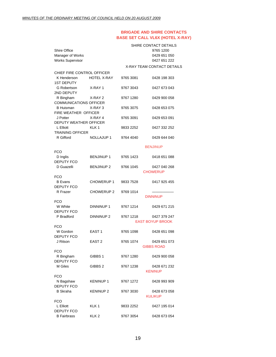#### **BRIGADE AND SHIRE CONTACTS BASE SET CALL VL6X (HOTEL X-RAY)**

|                               |                       |                                   | SHIRE CONTACT DETAILS   |  |
|-------------------------------|-----------------------|-----------------------------------|-------------------------|--|
| <b>Shire Office</b>           |                       |                                   | 9765 1200               |  |
| Manager of Works              |                       |                                   | 0429 651 050            |  |
| <b>Works Supervisor</b>       |                       |                                   | 0427 651 222            |  |
|                               |                       | <b>X-RAY TEAM CONTACT DETAILS</b> |                         |  |
| CHIEF FIRE CONTROL OFFICER    |                       |                                   |                         |  |
| K Henderson                   | <b>HOTEL X-RAY</b>    | 9765 3081                         | 0428 198 303            |  |
| <b>1ST DEPUTY</b>             |                       |                                   |                         |  |
| <b>G</b> Robertson            | X-RAY 1               | 9767 3043                         | 0427 673 043            |  |
| 2ND DEPUTY                    |                       |                                   |                         |  |
| R Bingham                     | X-RAY 2               | 9767 1280                         | 0429 900 058            |  |
| <b>COMMUNICATIONS OFFICER</b> |                       |                                   |                         |  |
| <b>B</b> Huisman              | X-RAY 3               | 9765 3075                         | 0428 653 075            |  |
| FIRE WEATHER OFFICER          |                       |                                   |                         |  |
| J Potter                      | X-RAY 4               | 9765 3091                         | 0429 653 091            |  |
| DEPUTY WEATHER OFFICER        |                       |                                   |                         |  |
| L Elliott                     | KLK <sub>1</sub>      | 9833 2252                         | 0427 332 252            |  |
| <b>TRAINING OFFICER</b>       |                       |                                   |                         |  |
| R Gifford                     | NOLLAJUP 1            | 9764 4040                         | 0429 644 040            |  |
|                               |                       |                                   |                         |  |
|                               |                       |                                   | <b>BENJINUP</b>         |  |
| <b>FCO</b>                    |                       |                                   |                         |  |
| D Inglis                      | <b>BENJINUP1</b>      | 9765 1423                         | 0418 651 088            |  |
| <b>DEPUTY FCO</b>             |                       |                                   |                         |  |
| D Guazelli                    | <b>BENJINUP 2</b>     | 9766 1045                         | 0427 040 268            |  |
|                               |                       |                                   | <b>CHOWERUP</b>         |  |
| <b>FCO</b><br><b>B</b> Evans  | CHOWERUP 1            | 9833 7528                         | 0417 925 455            |  |
| <b>DEPUTY FCO</b>             |                       |                                   |                         |  |
| R Frazer                      | CHOWERUP 2            | 9769 1014                         |                         |  |
|                               |                       |                                   | <b>DINNINUP</b>         |  |
| <b>FCO</b>                    |                       |                                   |                         |  |
| W White                       | DINNINUP 1            | 9767 1214                         | 0429 671 215            |  |
| <b>DEPUTY FCO</b>             |                       |                                   |                         |  |
| P Bradford                    | DINNINUP <sub>2</sub> | 9767 1218                         | 0427 379 247            |  |
|                               |                       |                                   | <b>EAST BOYUP BROOK</b> |  |
| <b>FCO</b>                    |                       |                                   |                         |  |
| W Gordon                      | EAST 1                | 9765 1098                         | 0428 651 098            |  |
| <b>DEPUTY FCO</b>             |                       |                                   |                         |  |
| J Ritson                      | EAST <sub>2</sub>     | 9765 1074                         | 0429 651 073            |  |
|                               |                       |                                   | GIBBS ROAD              |  |
| <b>FCO</b>                    |                       |                                   |                         |  |
| R Bingham                     | GIBBS 1               | 9767 1280                         | 0429 900 058            |  |
| <b>DEPUTY FCO</b>             |                       |                                   |                         |  |
| M Giles                       | GIBBS 2               | 9767 1238                         | 0428 671 232            |  |
|                               |                       |                                   | <b>KENINUP</b>          |  |
| <b>FCO</b>                    |                       |                                   |                         |  |
| N Bagshaw                     | <b>KENINUP1</b>       | 9767 1272                         | 0428 993 909            |  |
| <b>DEPUTY FCO</b>             |                       |                                   |                         |  |
| <b>B</b> Skraha               | KENINUP 2             | 9767 3030                         | 0428 673 058            |  |
|                               |                       |                                   | <b>KULIKUP</b>          |  |
| <b>FCO</b>                    |                       |                                   |                         |  |
| L Elliott                     | KLK 1                 | 9833 2252                         | 0427 195 014            |  |
| <b>DEPUTY FCO</b>             |                       |                                   |                         |  |
| <b>B</b> Fairbrass            | KLK 2                 | 9767 3054                         | 0428 673 054            |  |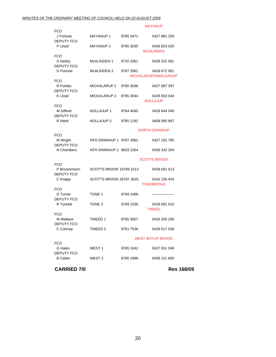#### MAYANUP

|            | <b>CARRIED 7/0</b>                |                                |           | <b>Res 168/09</b>                    |  |
|------------|-----------------------------------|--------------------------------|-----------|--------------------------------------|--|
|            | <b>B</b> Cailes                   | WEST 2                         | 9765 1999 | 0408 151 800                         |  |
| FCO        | G Hales<br><b>DEPUTY FCO</b>      | WEST <sub>1</sub>              | 9765 1042 | 0427 651 046                         |  |
|            |                                   |                                |           | <b>WEST BOYUP BROOK</b>              |  |
|            | <b>DEPUTY FCO</b><br>C Connop     | TWEED <sub>2</sub>             | 9761 7536 | 0428 617 536                         |  |
| <b>FCO</b> | M Wallace                         | TWEED 1                        | 9765 3057 | 0429 205 200                         |  |
|            | <b>DEPUTY FCO</b><br>R Tuckett    | TONE <sub>2</sub>              | 9769 1036 | 0429 691 010<br><b>TWEED</b>         |  |
| <b>FCO</b> | D Turner                          | TONE 1                         | 9769 1069 |                                      |  |
|            | C Knapp                           | <b>SCOTTS BROOK 29767 3025</b> |           | 0416 156 404<br><b>TONEBRIDGE</b>    |  |
| <b>FCO</b> | P Broockmann<br><b>DEPUTY FCO</b> | <b>SCOTTS BROOK 19769 1013</b> |           | 0428 691 013                         |  |
|            |                                   |                                |           | <b>SCOTTS BROOK</b>                  |  |
|            | <b>DEPUTY FCO</b><br>N Chambers   | NTH DINNINUP 2 9833 2264       |           | 0428 332 264                         |  |
| <b>FCO</b> | M Wright                          | NTH DINNINUP 1 9767 2062       |           | 0427 191 785                         |  |
|            |                                   |                                |           | <b>NORTH DINNINUP</b>                |  |
|            | <b>DEPUTY FCO</b><br>R Nield      | <b>NOLLAJUP 2</b>              | 9765 1192 | 0408 090 987                         |  |
| FCO        | M Gifford                         | NOLLAJUP 1                     | 9764 4040 | 0428 644 040                         |  |
|            | K Lloyd                           | MICKALARUP 2                   | 9765 3044 | 0428 653 044<br><b>NOLLAJUP</b>      |  |
| <b>FCO</b> | R Forbes<br><b>DEPUTY FCO</b>     | MICKALARUP 1                   | 9765 3036 | 0427 887 397                         |  |
|            | <b>DEPUTY FCO</b><br>D Fortune    | McALINDEN 2                    | 9767 2061 | 0428 672 061<br>MICKALARUP/DWALGANUP |  |
| FCO        | S Harley                          | McALINDEN 1                    | 9732 2061 | 0428 322 061                         |  |
|            | P Lloyd                           | <b>MAYANUP 2</b>               | 9765 3035 | 0428 653 020<br><b>MCALINDEN</b>     |  |
|            | J Fortune<br><b>DEPUTY FCO</b>    | <b>MAYANUP1</b>                | 9765 3471 | 0427 881 259                         |  |
| FCO        |                                   |                                |           |                                      |  |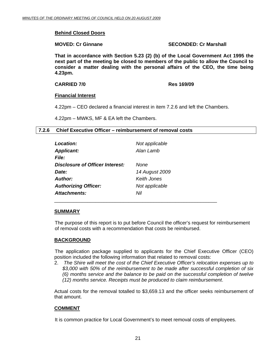#### <span id="page-20-0"></span>**Behind Closed Doors**

#### **MOVED: Cr Ginnane SECONDED: Cr Marshall**

**That in accordance with Section 5.23 (2) (b) of the Local Government Act 1995 the next part of the meeting be closed to members of the public to allow the Council to consider a matter dealing with the personal affairs of the CEO, the time being 4.23pm.** 

#### **CARRIED 7/0 Res 169/09**

#### **Financial Interest**

4.22pm – CEO declared a financial interest in item 7.2.6 and left the Chambers.

4.22pm – MWKS, MF & EA left the Chambers.

#### **7.2.6 Chief Executive Officer – reimbursement of removal costs**

| Location:                       | Not applicable     |
|---------------------------------|--------------------|
| <b>Applicant:</b>               | Alan Lamb          |
| <b>File:</b>                    |                    |
| Disclosure of Officer Interest: | None               |
| Date:                           | 14 August 2009     |
| Author:                         | <b>Keith Jones</b> |
| <b>Authorizing Officer:</b>     | Not applicable     |
| <b>Attachments:</b>             | Nil                |

\_\_\_\_\_\_\_\_\_\_\_\_\_\_\_\_\_\_\_\_\_\_\_\_\_\_\_\_\_\_\_\_\_\_\_\_\_\_\_\_\_\_\_\_\_\_\_\_\_\_\_\_\_\_\_\_\_\_\_

#### **SUMMARY**

The purpose of this report is to put before Council the officer's request for reimbursement of removal costs with a recommendation that costs be reimbursed.

#### **BACKGROUND**

 The application package supplied to applicants for the Chief Executive Officer (CEO) position included the following information that related to removal costs:

2. *The Shire will meet the cost of the Chief Executive Officer's relocation expenses up to \$3,000 with 50% of the reimbursement to be made after successful completion of six (6) months service and the balance to be paid on the successful completion of twelve (12) months service. Receipts must be produced to claim reimbursement*.

Actual costs for the removal totalled to \$3,659.13 and the officer seeks reimbursement of that amount.

#### **COMMENT**

It is common practice for Local Government's to meet removal costs of employees.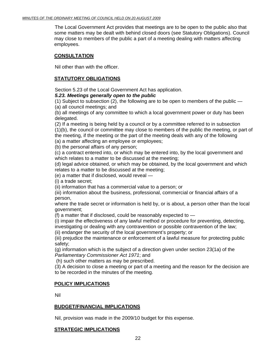The Local Government Act provides that meetings are to be open to the public also that some matters may be dealt with behind closed doors (see Statutory Obligations). Council may close to members of the public a part of a meeting dealing with matters affecting employees.

#### **CONSULTATION**

Nil other than with the officer.

### **STATUTORY OBLIGATIONS**

Section 5.23 of the Local Government Act has application.

#### *5.23. Meetings generally open to the public*

(1) Subject to subsection (2), the following are to be open to members of the public — (a) all council meetings; and

(b) all meetings of any committee to which a local government power or duty has been delegated.

(2) If a meeting is being held by a council or by a committee referred to in subsection (1)(b), the council or committee may close to members of the public the meeting, or part of the meeting, if the meeting or the part of the meeting deals with any of the following

(a) a matter affecting an employee or employees;

(b) the personal affairs of any person;

(c) a contract entered into, or which may be entered into, by the local government and which relates to a matter to be discussed at the meeting;

(d) legal advice obtained, or which may be obtained, by the local government and which relates to a matter to be discussed at the meeting;

(e) a matter that if disclosed, would reveal —

(i) a trade secret;

(ii) information that has a commercial value to a person; or

(iii) information about the business, professional, commercial or financial affairs of a person,

where the trade secret or information is held by, or is about, a person other than the local government;

(f) a matter that if disclosed, could be reasonably expected to  $-$ 

(i) impair the effectiveness of any lawful method or procedure for preventing, detecting,

investigating or dealing with any contravention or possible contravention of the law;

(ii) endanger the security of the local government's property; or

(iii) prejudice the maintenance or enforcement of a lawful measure for protecting public safety;

(g) information which is the subject of a direction given under section 23(1a) of the *Parliamentary Commissioner Act 1971*; and

(h) such other matters as may be prescribed.

(3) A decision to close a meeting or part of a meeting and the reason for the decision are to be recorded in the minutes of the meeting.

#### **POLICY IMPLICATIONS**

Nil

#### **BUDGET/FINANCIAL IMPLICATIONS**

Nil, provision was made in the 2009/10 budget for this expense.

#### **STRATEGIC IMPLICATIONS**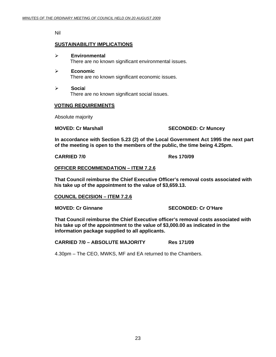Nil

#### **SUSTAINABILITY IMPLICATIONS**

- ¾ **Environmental**  There are no known significant environmental issues.
- ¾ **Economic**  There are no known significant economic issues.
- ¾ **Socia**l There are no known significant social issues.

#### **VOTING REQUIREMENTS**

Absolute majority

**MOVED: Cr Marshall SECONDED: Cr Muncey**  SECONDED: Cr Muncey

**In accordance with Section 5.23 (2) of the Local Government Act 1995 the next part of the meeting is open to the members of the public, the time being 4.25pm.** 

**CARRIED 7/0 Res 170/09** 

#### **OFFICER RECOMMENDATION – ITEM 7.2.6**

**That Council reimburse the Chief Executive Officer's removal costs associated with his take up of the appointment to the value of \$3,659.13.** 

#### **COUNCIL DECISION – ITEM 7.2.6**

**MOVED: Cr Ginnane SECONDED: Cr O'Hare** 

**That Council reimburse the Chief Executive officer's removal costs associated with his take up of the appointment to the value of \$3,000.00 as indicated in the information package supplied to all applicants.** 

**CARRIED 7/0 – ABSOLUTE MAJORITY Res 171/09** 

4.30pm – The CEO, MWKS, MF and EA returned to the Chambers.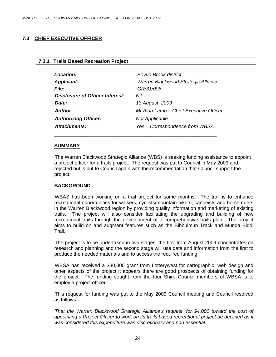### <span id="page-23-0"></span>**7.3 CHIEF EXECUTIVE OFFICER**

| 7.3.1 Trails Based Recreation Project |  |
|---------------------------------------|--|
|                                       |  |

| <b>Boyup Brook district</b>            |
|----------------------------------------|
| Warren Blackwood Strategic Alliance    |
| GR/31/006                              |
| Nil                                    |
| 13 August 2009                         |
| Mr Alan Lamb - Chief Executive Officer |
| <b>Not Applicable</b>                  |
| Yes - Correspondence from WBSA         |
|                                        |

 *\_\_\_\_\_\_\_\_\_\_\_\_\_\_\_\_\_\_\_\_\_\_\_\_\_\_\_\_\_\_\_\_\_\_\_\_\_\_\_\_\_\_\_\_\_\_\_\_\_\_\_\_\_\_\_\_\_\_\_* 

#### **SUMMARY**

 The Warren Blackwood Strategic Alliance (WBS) is seeking funding assistance to appoint a project officer for a trails project. The request was put to Council in May 2009 and rejected but is put to Council again with the recommendation that Council support the project.

#### **BACKGROUND**

 WBAS has been working on a trail project for some months. The trail is to enhance recreational opportunities for walkers, cyclists/mountain bikers, canoeists and horse riders in the Warren Blackwood region by providing quality information and marketing of existing trails. The project will also consider facilitating the upgrading and building of new recreational trails through the development of a comprehensive trails plan. The project aims to build on and augment features such as the Bibbulmun Track and Munda Biddi Trail.

 The project is to be undertaken in two stages, the first from August 2009 concentrates on research and planning and the second stage will use data and information from the first to produce the needed materials and to access the required funding.

 WBSA has received a \$30,000 grant from Lotterywest for cartographic, web design and other aspects of the project it appears there are good prospects of obtaining funding for the project. The funding sought from the four Shire Council members of WBSA is to employ a project officer.

 This request for funding was put to the May 2009 Council meeting and Council resolved as follows:-

*That the Warren Blackwood Strategic Alliance's request, for \$4,000 toward the cost of appointing a Project Officer to work on its trails based recreational project be declined as it was considered this expenditure was discretionary and non essential.*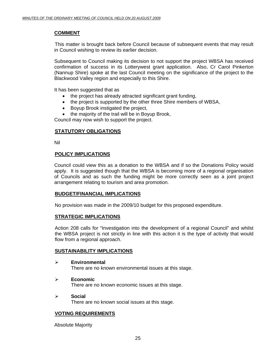#### **COMMENT**

 This matter is brought back before Council because of subsequent events that may result in Council wishing to review its earlier decision.

Subsequent to Council making its decision to not support the project WBSA has received confirmation of success in its Lotterywest grant application. Also, Cr Carol Pinkerton (Nannup Shire) spoke at the last Council meeting on the significance of the project to the Blackwood Valley region and especially to this Shire.

It has been suggested that as

- the project has already attracted significant grant funding,
- the project is supported by the other three Shire members of WBSA,
- Boyup Brook instigated the project,
- the majority of the trail will be in Boyup Brook,

Council may now wish to support the project.

#### **STATUTORY OBLIGATIONS**

Nil

#### **POLICY IMPLICATIONS**

Council could view this as a donation to the WBSA and if so the Donations Policy would apply. It is suggested though that the WBSA is becoming more of a regional organisation of Councils and as such the funding might be more correctly seen as a joint project arrangement relating to tourism and area promotion.

#### **BUDGET/FINANCIAL IMPLICATIONS**

No provision was made in the 2009/10 budget for this proposed expenditure.

#### **STRATEGIC IMPLICATIONS**

Action 208 calls for "Investigation into the development of a regional Council" and whilst the WBSA project is not strictly in line with this action it is the type of activity that would flow from a regional approach.

#### **SUSTAINABILITY IMPLICATIONS**

#### ¾ **Environmental**

There are no known environmental issues at this stage.

- ¾ **Economic**  There are no known economic issues at this stage.
- ¾ **Social**  There are no known social issues at this stage.

#### **VOTING REQUIREMENTS**

Absolute Majority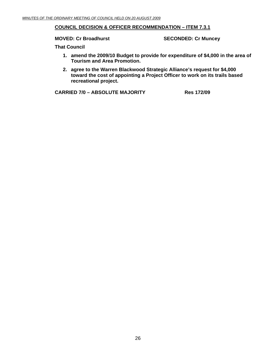#### **COUNCIL DECISION & OFFICER RECOMMENDATION – ITEM 7.3.1**

#### **MOVED: Cr Broadhurst SECONDED: Cr Muncey**

**That Council** 

- **1. amend the 2009/10 Budget to provide for expenditure of \$4,000 in the area of Tourism and Area Promotion.**
- **2. agree to the Warren Blackwood Strategic Alliance's request for \$4,000 toward the cost of appointing a Project Officer to work on its trails based recreational project.**

**CARRIED 7/0 – ABSOLUTE MAJORITY Res 172/09**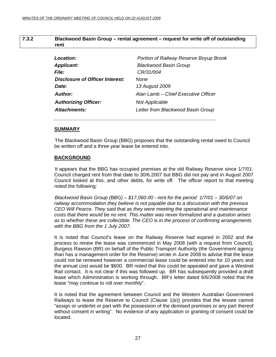<span id="page-26-0"></span>

| 7.3.2 | Blackwood Basin Group - rental agreement - request for write off of outstanding |
|-------|---------------------------------------------------------------------------------|
|       | rent                                                                            |

| Location:<br><b>Applicant:</b>         | Portion of Railway Reserve Boyup Brook<br><b>Blackwood Basin Group</b> |
|----------------------------------------|------------------------------------------------------------------------|
| <i>File:</i>                           | CR/31/004                                                              |
| <b>Disclosure of Officer Interest:</b> | None                                                                   |
| Date:                                  | 13 August 2009                                                         |
| Author:                                | Alan Lamb – Chief Executive Officer                                    |
| <b>Authorizing Officer:</b>            | <b>Not Applicable</b>                                                  |
| <b>Attachments:</b>                    | Letter from Blackwood Basin Group                                      |

 *\_\_\_\_\_\_\_\_\_\_\_\_\_\_\_\_\_\_\_\_\_\_\_\_\_\_\_\_\_\_\_\_\_\_\_\_\_\_\_\_\_\_\_\_\_\_\_\_\_\_\_\_\_\_\_\_\_\_\_* 

#### **SUMMARY**

 The Blackwood Basin Group (BBG) proposes that the outstanding rental owed to Council be written off and a three year lease be entered into.

#### **BACKGROUND**

 It appears that the BBG has occupied premises at the old Railway Reserve since 1/7/01. Council charged rent from that date to 30/6.2007 but BBG did not pay and in August 2007 Council looked at this, and other debts, for write off. The officer report to that meeting noted the following:

 *Blackwood Basin Group (BBG) – \$17,060.00 - rent for the period 1/7/01 – 30/6/07 on railway accommodation they believe is not payable due to a discussion with the previous CEO Will Pearce. They said that as they were meeting the operational and maintenance costs that there would be no rent. This matter was never formalized and a question arises as to whether these are collectible. The CEO is in the process of confirming arrangements with the BBG from the 1 July 2007.* 

It is noted that Council's lease on the Railway Reserve had expired in 2002 and the process to renew the lease was commenced in May 2008 (with a request from Council). Burgess Rawson (BR) on behalf of the Public Transport Authority (the Government agency than has a management order for the Reserve) wrote in June 2008 to advise that the lease could not be renewed however a commercial lease could be entered into for 10 years and the annual cost would be \$600. BR noted that this could be appealed and gave a Westnet Rail contact. It is not clear if this was followed up. BR has subsequently provided a draft lease which Administration is working through. BR's letter dated 6/6/2008 noted that the lease "may continue to roll over monthly".

It is noted that the agreement between Council and the Western Australian Government Railways to lease the Reserve to Council (Clause 1(e)) provides that the lessee cannot "assign or underlet or part with the possession of the demised premises or any part thereof without consent in writing". No evidence of any application or granting of consent could be located.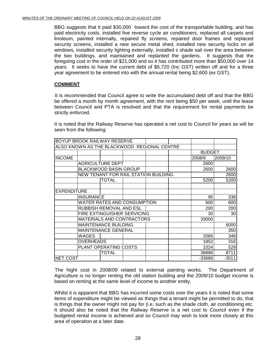BBG suggests that it paid \$30,000 toward the cost of the transportable building, and has paid electricity costs, installed five reverse cycle air conditioners, replaced all carpets and linoleum, painted internally, repaired fly screens, repaired door frames and replaced security screens, installed a new secure metal shed, installed new security locks on all windows, installed security lighting externally, installed s shade sail over the area between the two buildings, and maintained and replanted the gardens. It suggests that the foregoing cost in the order of \$21,000 and so it has contributed more than \$50,000 over 14 years. It seeks to have the current debt of \$5,720 (Inc GST) written off and for a three year agreement to be entered into with the annual rental being \$2,600 (ex GST).

#### **COMMENT**

It is recommended that Council agree to write the accumulated debt off and that the BBG be offered a month by month agreement, with the rent being \$50 per week, until the lease between Council and PTA is resolved and that the requirement for rental payments be strictly enforced.

It is noted that the Railway Reserve has operated a net cost to Council for years as will be seen from the following:

| BOYUP BROOK RAILWAY RESERVE |                                             |                                      |  |       |               |         |
|-----------------------------|---------------------------------------------|--------------------------------------|--|-------|---------------|---------|
|                             | ALSO KNOWN AS THE BLACKWOOD REGIONAL CENTRE |                                      |  |       |               |         |
|                             |                                             |                                      |  |       | <b>BUDGET</b> |         |
| <b>INCOME</b>               |                                             |                                      |  |       | 2008/9        | 2009/10 |
|                             |                                             | <b>AGRICULTURE DEPT</b>              |  |       | 2600          |         |
|                             |                                             | <b>BLACKWOOD BASIN GROUP</b>         |  |       | 2600          | 2600    |
|                             |                                             | NEW TENANT FOR RAIL STATION BUILDING |  |       |               | 2600    |
|                             |                                             | <b>TOTAL</b>                         |  |       | 5200          | 5200    |
|                             |                                             |                                      |  |       |               |         |
| <b>EXPENDITURE</b>          |                                             |                                      |  |       |               |         |
|                             | <b>INSURANCE</b>                            |                                      |  |       | 95            | 338     |
|                             |                                             | <b>WATER RATES AND CONSUMPTION</b>   |  |       | 600           | 600     |
|                             | RUBBISH REMOVAL AND ESL                     |                                      |  |       | 200           | 200     |
|                             | FIRE EXTINGUISHER SERVICING                 |                                      |  |       | 30            | 30      |
| MATERIALS AND CONTRACTORS   |                                             |                                      |  | 33000 |               |         |
|                             | <b>MAINTENANCE BUILDING</b>                 |                                      |  |       |               | 6000    |
|                             | MAINTENANCE GENERAL                         |                                      |  |       |               | 350     |
|                             | WAGES                                       |                                      |  |       | 2085          | 348     |
|                             | <b>OVERHEADS</b>                            |                                      |  |       | 1852          | 316     |
|                             | PLANT OPERATING COSTS                       |                                      |  |       | 1024          | 529     |
|                             |                                             | TOTAL                                |  |       | 38886         | 8711    |
| <b>NET COST</b>             |                                             |                                      |  |       | -33686        | -3511   |

The hight cost in 2008/09 related to external painting works. The Department of Agriculture is no longer renting the old station building and the 2009/10 budget income is based on renting at the same level of income to another entity.

Whilst it is apparent that BBG has incurred some costs over the years it is noted that some items of expenditure might be viewed as things that a tenant might be permitted to do, that is things that the owner might not pay for (i.e. such as the shade cloth, air conditioning etc. It should also be noted that the Railway Reserve is a net cost to Council even if the budgeted rental income is achieved and so Council may wish to look more closely at this area of operation at a later date.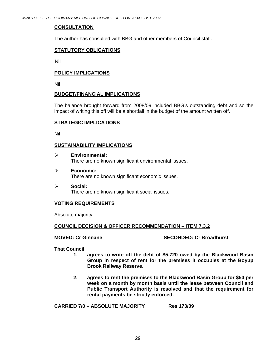#### **CONSULTATION**

The author has consulted with BBG and other members of Council staff.

#### **STATUTORY OBLIGATIONS**

Nil

#### **POLICY IMPLICATIONS**

Nil

#### **BUDGET/FINANCIAL IMPLICATIONS**

The balance brought forward from 2008/09 included BBG's outstanding debt and so the impact of writing this off will be a shortfall in the budget of the amount written off.

#### **STRATEGIC IMPLICATIONS**

Nil

#### **SUSTAINABILITY IMPLICATIONS**

- ¾ **Environmental:**  There are no known significant environmental issues.
- ¾ **Economic:**  There are no known significant economic issues.
- ¾ **Social:**  There are no known significant social issues.

#### **VOTING REQUIREMENTS**

Absolute majority

#### **COUNCIL DECISION & OFFICER RECOMMENDATION – ITEM 7.3.2**

#### **MOVED: Cr Ginnane SECONDED: Cr Broadhurst**

**That Council** 

- **1. agrees to write off the debt of \$5,720 owed by the Blackwood Basin Group in respect of rent for the premises it occupies at the Boyup Brook Railway Reserve.**
- **2. agrees to rent the premises to the Blackwood Basin Group for \$50 per week on a month by month basis until the lease between Council and Public Transport Authority is resolved and that the requirement for rental payments be strictly enforced.**

**CARRIED 7/0 – ABSOLUTE MAJORITY Res 173/09**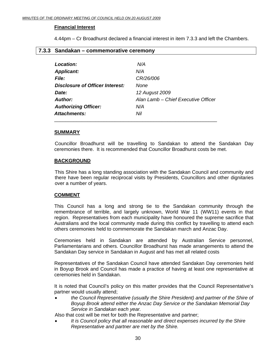#### <span id="page-29-0"></span>**Financial Interest**

4.44pm – Cr Broadhurst declared a financial interest in item 7.3.3 and left the Chambers.

| 7.3.3 Sandakan – commemorative ceremony |                                     |  |  |
|-----------------------------------------|-------------------------------------|--|--|
|                                         |                                     |  |  |
| Location:                               | N/A                                 |  |  |
| <b>Applicant:</b>                       | N/A                                 |  |  |
| <b>File:</b>                            | CR/26/006                           |  |  |
| Disclosure of Officer Interest:         | None                                |  |  |
| Date:                                   | 12 August 2009                      |  |  |
| <b>Author:</b>                          | Alan Lamb - Chief Executive Officer |  |  |
| <b>Authorizing Officer:</b>             | N/A                                 |  |  |
| Attachments:                            | Nil                                 |  |  |

#### **SUMMARY**

 Councillor Broadhurst will be travelling to Sandakan to attend the Sandakan Day ceremonies there. It is recommended that Councillor Broadhurst costs be met.

#### **BACKGROUND**

This Shire has a long standing association with the Sandakan Council and community and there have been regular reciprocal visits by Presidents, Councillors and other dignitaries over a number of years.

#### **COMMENT**

This Council has a long and strong tie to the Sandakan community through the remembrance of terrible, and largely unknown, World War 11 (WW11) events in that region. Representatives from each municipality have honoured the supreme sacrifice that Australians and the local community made during this conflict by travelling to attend each others ceremonies held to commemorate the Sandakan march and Anzac Day.

Ceremonies held in Sandakan are attended by Australian Service personnel, Parliamentarians and others. Councillor Broadhurst has made arrangements to attend the Sandakan Day service in Sandakan in August and has met all related costs

Representatives of the Sandakan Council have attended Sandakan Day ceremonies held in Boyup Brook and Council has made a practice of having at least one representative at ceremonies held in Sandakan.

It is noted that Council's policy on this matter provides that the Council Representative's partner would usually attend;

• *the Council Representative (usually the Shire President) and partner of the Shire of Boyup Brook attend either the Anzac Day Service or the Sandakan Memorial Day Service in Sandakan each year.* 

Also that cost will be met for both the Representative and partner;

It is Council policy that all reasonable and direct expenses incurred by the Shire *Representative and partner are met by the Shire.*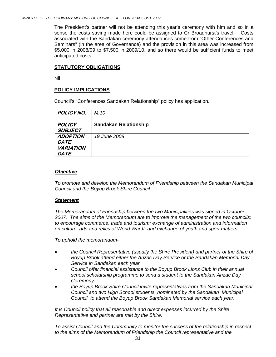The President's partner will not be attending this year's ceremony with him and so in a sense the costs saving made here could be assigned to Cr Broadhurst's travel. Costs associated with the Sandakan ceremony attendances come from "Other Conferences and Seminars" (in the area of Governance) and the provision in this area was increased from \$5,000 in 2008/09 to \$7,500 in 2009/10, and so there would be sufficient funds to meet anticipated costs.

#### **STATUTORY OBLIGATIONS**

Nil

#### **POLICY IMPLICATIONS**

Council's "Conferences Sandakan Relationship" policy has application.

| POLICY NO.                      | M.10                         |
|---------------------------------|------------------------------|
| <b>POLICY</b><br><b>SUBJECT</b> | <b>Sandakan Relationship</b> |
| <b>ADOPTION</b>                 | 19 June 2008                 |
| DATE                            |                              |
| <b>VARIATION</b>                |                              |
| <b>DATE</b>                     |                              |

#### *Objective*

*To promote and develop the Memorandum of Friendship between the Sandakan Municipal Council and the Boyup Brook Shire Council.* 

#### *Statement*

*The Memorandum of Friendship between the two Municipalities was signed in October 2007. The aims of the Memorandum are to improve the management of the two councils; to encourage commerce, trade and tourism; exchange of administration and information on culture, arts and relics of World War II; and exchange of youth and sport matters.* 

*To uphold the memorandum-* 

- *the Council Representative (usually the Shire President) and partner of the Shire of Boyup Brook attend either the Anzac Day Service or the Sandakan Memorial Day Service in Sandakan each year.*
- *Council offer financial assistance to the Boyup Brook Lions Club in their annual school scholarship programme to send a student to the Sandakan Anzac Day Ceremony.*
- *the Boyup Brook Shire Council invite representatives from the Sandakan Municipal Council and two High School students, nominated by the Sandakan Municipal Council, to attend the Boyup Brook Sandakan Memorial service each year.*

*It is Council policy that all reasonable and direct expenses incurred by the Shire Representative and partner are met by the Shire.* 

*To assist Council and the Community to monitor the success of the relationship in respect to the aims of the Memorandum of Friendship the Council representative and the*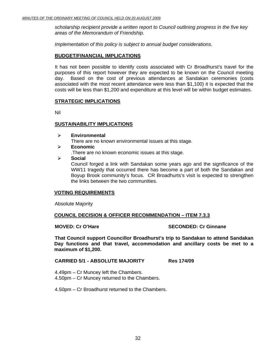*scholarship recipient provide a written report to Council outlining progress in the five key areas of the Memorandum of Friendship.* 

 *Implementation of this policy is subject to annual budget considerations.* 

#### **BUDGET/FINANCIAL IMPLICATIONS**

It has not been possible to identify costs associated with Cr Broadhurst's travel for the purposes of this report however they are expected to be known on the Council meeting day. Based on the cost of previous attendances at Sandakan ceremonies (costs associated with the most recent attendance were less than \$1,100) it is expected that the costs will be less than \$1,200 and expenditure at this level will be within budget estimates.

#### **STRATEGIC IMPLICATIONS**

Nil

#### **SUSTAINABILITY IMPLICATIONS**

¾ **Environmental** 

There are no known environmental issues at this stage.

- ¾ **Economic**  .There are no known economic issues at this stage.
	-
- ¾ **Social**

Council forged a link with Sandakan some years ago and the significance of the WW11 tragedy that occurred there has become a part of both the Sandakan and Boyup Brook community's focus. CR Broadhurts's visit is expected to strengthen the links between the two communities.

#### **VOTING REQUIREMENTS**

Absolute Majority

#### **COUNCIL DECISION & OFFICER RECOMMENDATION – ITEM 7.3.3**

**MOVED: Cr O'Hare SECONDED: Cr Ginnane** 

**That Council support Councillor Broadhurst's trip to Sandakan to attend Sandakan Day functions and that travel, accommodation and ancillary costs be met to a maximum of \$1,200.** 

#### **CARRIED 5/1 - ABSOLUTE MAJORITY Res 174/09**

4.49pm – Cr Muncey left the Chambers. 4.50pm – Cr Muncey returned to the Chambers.

4.50pm – Cr Broadhurst returned to the Chambers.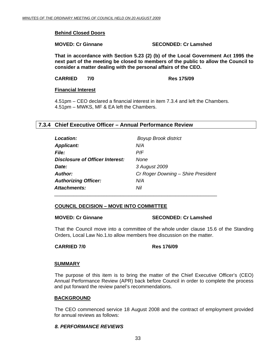#### <span id="page-32-0"></span>**Behind Closed Doors**

#### **MOVED: Cr Ginnane SECONDED: Cr Lamshed**

**That in accordance with Section 5.23 (2) (b) of the Local Government Act 1995 the next part of the meeting be closed to members of the public to allow the Council to consider a matter dealing with the personal affairs of the CEO.** 

**CARRIED 7/0 Res 175/09** 

#### **Financial Interest**

4.51pm – CEO declared a financial interest in item 7.3.4 and left the Chambers. 4.51pm – MWKS, MF & EA left the Chambers.

#### **7.3.4 Chief Executive Officer – Annual Performance Review**

| Location:                       | <b>Boyup Brook district</b>        |
|---------------------------------|------------------------------------|
| <b>Applicant:</b>               | N/A                                |
| <b>File:</b>                    | P/F                                |
| Disclosure of Officer Interest: | None                               |
| Date:                           | 3 August 2009                      |
| Author:                         | Cr Roger Downing - Shire President |
| <b>Authorizing Officer:</b>     | N/A                                |
| Attachments:                    | Nil                                |

#### **COUNCIL DECISION – MOVE INTO COMMITTEE**

#### **MOVED: Cr Ginnane SECONDED: Cr Lamshed**

That the Council move into a committee of the whole under clause 15.6 of the Standing Orders, Local Law No.1.to allow members free discussion on the matter.

#### **CARRIED 7/0 Res 176/09**

#### **SUMMARY**

 The purpose of this item is to bring the matter of the Chief Executive Officer's (CEO) Annual Performance Review (APR) back before Council in order to complete the process and put forward the review panel's recommendations.

#### **BACKGROUND**

 The CEO commenced service 18 August 2008 and the contract of employment provided for annual reviews as follows:

#### *8. PERFORMANCE REVIEWS*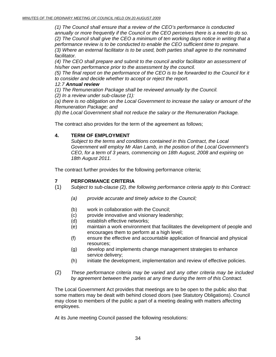*(1) The Council shall ensure that a review of the CEO's performance is conducted annually or more frequently if the Council or the CEO perceives there is a need to do so. (2) The Council shall give the CEO a minimum of ten working days notice in writing that a performance review is to be conducted to enable the CEO sufficient time to prepare. (3) Where an external facilitator is to be used, both parties shall agree to the nominated facilitator.* 

*(4) The CEO shall prepare and submit to the council and/or facilitator an assessment of his/her own performance prior to the assessment by the council.* 

*(5) The final report on the performance of the CEO is to be forwarded to the Council for it to consider and decide whether to accept or reject the report.* 

#### *12.7 Annual review*

*(1) The Remuneration Package shall be reviewed annually by the Council.* 

*(2) In a review under sub-clause (1):* 

*(a) there is no obligation on the Local Government to increase the salary or amount of the Remuneration Package; and* 

*(b) the Local Government shall not reduce the salary or the Remuneration Package.* 

The contract also provides for the term of the agreement as follows;

#### **4. TERM OF EMPLOYMENT**

*Subject to the terms and conditions contained in this Contract, the Local Government will employ Mr Alan Lamb, in the position of the Local Government's CEO, for a term of 3 years, commencing on 18th August, 2008 and expiring on 18th August 2011.* 

The contract further provides for the following performance criteria;

#### **7 PERFORMANCE CRITERIA**

- (1) *Subject to sub-clause [\(2\),](#page-33-0) the following performance criteria apply to this Contract:* 
	- *(a) provide accurate and timely advice to the Council;*
	- (b) work in collaboration with the Council;
	- (c) provide innovative and visionary leadership;
	- (d) establish effective networks;
	- (e) maintain a work environment that facilitates the development of people and encourages them to perform at a high level;
	- (f) ensure the effective and accountable application of financial and physical resources;
	- (g) develop and implements change management strategies to enhance service delivery;
	- (h) initiate the development, implementation and review of effective policies.
- <span id="page-33-0"></span>(2) *These performance criteria may be varied and any other criteria may be included by agreement between the parties at any time during the term of this Contract.*

The Local Government Act provides that meetings are to be open to the public also that some matters may be dealt with behind closed doors (see Statutory Obligations). Council may close to members of the public a part of a meeting dealing with matters affecting employees.

At its June meeting Council passed the following resolutions: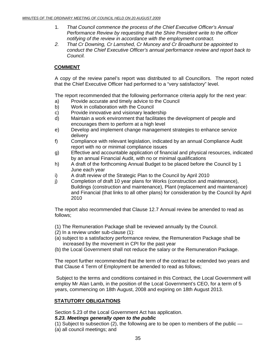- 1*. That Council commence the process of the Chief Executive Officer's Annual Performance Review by requesting that the Shire President write to the officer notifying of the review in accordance with the employment contract.*
- *2. That Cr Downing, Cr Lamshed, Cr Muncey and Cr Broadhurst be appointed to conduct the Chief Executive Officer's annual performance review and report back to Council.*

### **COMMENT**

 A copy of the review panel's report was distributed to all Councillors. The report noted that the Chief Executive Officer had performed to a "very satisfactory" level.

The report recommended that the following performance criteria apply for the next year:

- a) Provide accurate and timely advice to the Council
- b) Work in collaboration with the Council
- c) Provide innovative and visionary leadership
- d) Maintain a work environment that facilitates the development of people and encourages them to perform at a high level
- e) Develop and implement change management strategies to enhance service delivery
- f) Compliance with relevant legislation, indicated by an annual Compliance Audit report with no or minimal compliance issues
- g) Effective and accountable application of financial and physical resources, indicated by an annual Financial Audit, with no or minimal qualifications
- h) A draft of the forthcoming Annual Budget to be placed before the Council by 1 June each year
- i) A draft review of the Strategic Plan to the Council by April 2010
- j) Completion of draft 10 year plans for Works (construction and maintenance), Buildings (construction and maintenance), Plant (replacement and maintenance) and Financial (that links to all other plans) for consideration by the Council by April 2010

The report also recommended that Clause 12.7 Annual review be amended to read as follows;

- (1) The Remuneration Package shall be reviewed annually by the Council.
- (2) In a review under sub-clause (1):
- (a) subject to a satisfactory performance review, the Remuneration Package shall be increased by the movement in CPI for the past year
- (b) the Local Government shall not reduce the salary or the Remuneration Package.

The report further recommended that the term of the contract be extended two years and that Clause 4 Term of Employment be amended to read as follows;

 Subject to the terms and conditions contained in this Contract, the Local Government will employ Mr Alan Lamb, in the position of the Local Government's CEO, for a term of 5 years, commencing on 18th August, 2008 and expiring on 18th August 2013.

### **STATUTORY OBLIGATIONS**

Section 5.23 of the Local Government Act has application.

#### *5.23. Meetings generally open to the public*

(1) Subject to subsection (2), the following are to be open to members of the public — (a) all council meetings; and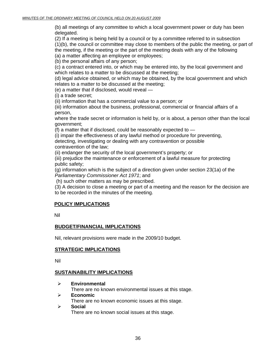(b) all meetings of any committee to which a local government power or duty has been delegated.

(2) If a meeting is being held by a council or by a committee referred to in subsection (1)(b), the council or committee may close to members of the public the meeting, or part of the meeting, if the meeting or the part of the meeting deals with any of the following (a) a matter affecting an employee or employees;

(b) the personal affairs of any person;

(c) a contract entered into, or which may be entered into, by the local government and which relates to a matter to be discussed at the meeting;

(d) legal advice obtained, or which may be obtained, by the local government and which relates to a matter to be discussed at the meeting;

(e) a matter that if disclosed, would reveal —

(i) a trade secret;

(ii) information that has a commercial value to a person; or

(iii) information about the business, professional, commercial or financial affairs of a person,

where the trade secret or information is held by, or is about, a person other than the local government;

(f) a matter that if disclosed, could be reasonably expected to —

(i) impair the effectiveness of any lawful method or procedure for preventing,

detecting, investigating or dealing with any contravention or possible contravention of the law;

(ii) endanger the security of the local government's property; or

(iii) prejudice the maintenance or enforcement of a lawful measure for protecting public safety;

(g) information which is the subject of a direction given under section 23(1a) of the *Parliamentary Commissioner Act 1971*; and

(h) such other matters as may be prescribed.

(3) A decision to close a meeting or part of a meeting and the reason for the decision are to be recorded in the minutes of the meeting.

### **POLICY IMPLICATIONS**

Nil

### **BUDGET/FINANCIAL IMPLICATIONS**

Nil, relevant provisions were made in the 2009/10 budget.

#### **STRATEGIC IMPLICATIONS**

Nil

#### **SUSTAINABILITY IMPLICATIONS**

- ¾ **Environmental** 
	- There are no known environmental issues at this stage.
- ¾ **Economic**

There are no known economic issues at this stage.

¾ **Social** 

There are no known social issues at this stage.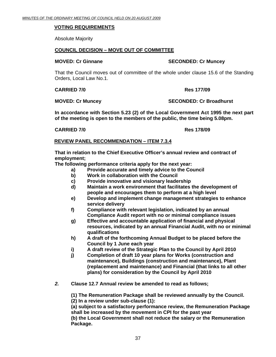#### **VOTING REQUIREMENTS**

Absolute Majority

#### **COUNCIL DECISION – MOVE OUT OF COMMITTEE**

**MOVED: Cr Ginnane SECONDED: Cr Muncey** 

That the Council moves out of committee of the whole under clause 15.6 of the Standing Orders, Local Law No.1.

#### **CARRIED 7/0 Res 177/09**

#### **MOVED: Cr Muncey SECONDED: Cr Broadhurst**

**In accordance with Section 5.23 (2) of the Local Government Act 1995 the next part of the meeting is open to the members of the public, the time being 5.08pm.** 

#### **CARRIED 7/0 Res 178/09**

#### **REVIEW PANEL RECOMMENDATION – ITEM 7.3.4**

**That in relation to the Chief Executive Officer's annual review and contract of employment;** 

**The following performance criteria apply for the next year:** 

- **a) Provide accurate and timely advice to the Council**
- **b) Work in collaboration with the Council**
- **c) Provide innovative and visionary leadership**
- **d) Maintain a work environment that facilitates the development of people and encourages them to perform at a high level**
- **e) Develop and implement change management strategies to enhance service delivery**
- **f) Compliance with relevant legislation, indicated by an annual Compliance Audit report with no or minimal compliance issues**
- **g) Effective and accountable application of financial and physical resources, indicated by an annual Financial Audit, with no or minimal qualifications**
- **h) A draft of the forthcoming Annual Budget to be placed before the Council by 1 June each year**
- **i) A draft review of the Strategic Plan to the Council by April 2010**
- **j) Completion of draft 10 year plans for Works (construction and maintenance), Buildings (construction and maintenance), Plant (replacement and maintenance) and Financial (that links to all other plans) for consideration by the Council by April 2010**
- *2.* **Clause 12.7 Annual review be amended to read as follows;**

**(1) The Remuneration Package shall be reviewed annually by the Council.** 

**(2) In a review under sub-clause (1):** 

**(a) subject to a satisfactory performance review, the Remuneration Package shall be increased by the movement in CPI for the past year** 

**(b) the Local Government shall not reduce the salary or the Remuneration Package.**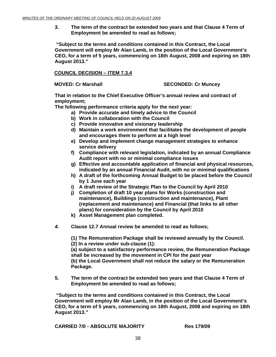**3. The term of the contract be extended two years and that Clause 4 Term of Employment be amended to read as follows;** 

 **"Subject to the terms and conditions contained in this Contract, the Local Government will employ Mr Alan Lamb, in the position of the Local Government's CEO, for a term of 5 years, commencing on 18th August, 2008 and expiring on 18th August 2013."** 

**COUNCIL DECISION – ITEM 7.3.4**

#### **MOVED: Cr Marshall SECONDED: Cr Muncey**

**That in relation to the Chief Executive Officer's annual review and contract of employment;** 

**The following performance criteria apply for the next year:** 

- **a) Provide accurate and timely advice to the Council**
- **b) Work in collaboration with the Council**
- **c) Provide innovative and visionary leadership**
- **d) Maintain a work environment that facilitates the development of people and encourages them to perform at a high level**
- **e) Develop and implement change management strategies to enhance service delivery**
- **f) Compliance with relevant legislation, indicated by an annual Compliance Audit report with no or minimal compliance issues**
- **g) Effective and accountable application of financial and physical resources, indicated by an annual Financial Audit, with no or minimal qualifications**
- **h) A draft of the forthcoming Annual Budget to be placed before the Council by 1 June each year**
- **i) A draft review of the Strategic Plan to the Council by April 2010**
- **j) Completion of draft 10 year plans for Works (construction and maintenance), Buildings (construction and maintenance), Plant (replacement and maintenance) and Financial (that links to all other plans) for consideration by the Council by April 2010**
- **k) Asset Management plan completed.**
- *4.* **Clause 12.7 Annual review be amended to read as follows;**

**(1) The Remuneration Package shall be reviewed annually by the Council. (2) In a review under sub-clause (1):** 

**(a) subject to a satisfactory performance review, the Remuneration Package shall be increased by the movement in CPI for the past year (b) the Local Government shall not reduce the salary or the Remuneration Package.** 

**5. The term of the contract be extended two years and that Clause 4 Term of Employment be amended to read as follows;** 

 **"Subject to the terms and conditions contained in this Contract, the Local Government will employ Mr Alan Lamb, in the position of the Local Government's CEO, for a term of 5 years, commencing on 18th August, 2008 and expiring on 18th August 2013."** 

**CARRIED 7/0 - ABSOLUTE MAJORITY Res 179/09**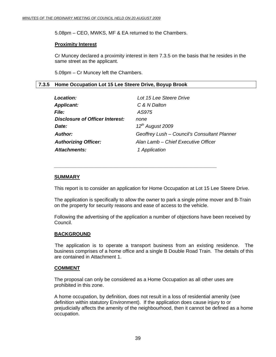<span id="page-38-0"></span>5.08pm – CEO, MWKS, MF & EA returned to the Chambers.

#### **Proximity Interest**

Cr Muncey declared a proximity interest in item 7.3.5 on the basis that he resides in the same street as the applicant.

5.09pm – Cr Muncey left the Chambers.

#### **7.3.5 Home Occupation Lot 15 Lee Steere Drive, Boyup Brook**

 *\_\_\_\_\_\_\_\_\_\_\_\_\_\_\_\_\_\_\_\_\_\_\_\_\_\_\_\_\_\_\_\_\_\_\_\_\_\_\_\_\_\_\_\_\_\_\_\_\_\_\_\_\_\_\_\_\_\_\_* 

| Location:                              | Lot 15 Lee Steere Drive                      |
|----------------------------------------|----------------------------------------------|
| <b>Applicant:</b>                      | C & N Dalton                                 |
| <b>File:</b>                           | AS975                                        |
| <b>Disclosure of Officer Interest:</b> | none                                         |
| Date:                                  | $12^{th}$ August 2009                        |
| <b>Author:</b>                         | Geoffrey Lush - Council's Consultant Planner |
| <b>Authorizing Officer:</b>            | Alan Lamb - Chief Executive Officer          |
| <b>Attachments:</b>                    | 1 Application                                |

#### **SUMMARY**

This report is to consider an application for Home Occupation at Lot 15 Lee Steere Drive.

The application is specifically to allow the owner to park a single prime mover and B-Train on the property for security reasons and ease of access to the vehicle.

Following the advertising of the application a number of objections have been received by Council.

#### **BACKGROUND**

 The application is to operate a transport business from an existing residence. The business comprises of a home office and a single B Double Road Train. The details of this are contained in Attachment 1.

#### **COMMENT**

The proposal can only be considered as a Home Occupation as all other uses are prohibited in this zone.

A home occupation, by definition, does not result in a loss of residential amenity (see definition within statutory Environment). If the application does cause injury to or prejudicially affects the amenity of the neighbourhood, then it cannot be defined as a home occupation.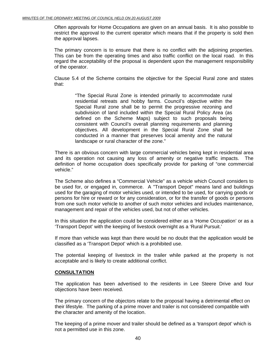Often approvals for Home Occupations are given on an annual basis. It is also possible to restrict the approval to the current operator which means that if the property is sold then the approval lapses.

The primary concern is to ensure that there is no conflict with the adjoining properties. This can be from the operating times and also traffic conflict on the local road. In this regard the acceptability of the proposal is dependent upon the management responsibility of the operator.

Clause 5.4 of the Scheme contains the objective for the Special Rural zone and states that:

> "The Special Rural Zone is intended primarily to accommodate rural residential retreats and hobby farms. Council's objective within the Special Rural zone shall be to permit the progressive rezoning and subdivision of land included within the Special Rural Policy Area (as defined on the Scheme Maps) subject to such proposals being consistent with Council's overall planning requirements and planning objectives. All development in the Special Rural Zone shall be conducted in a manner that preserves local amenity and the natural landscape or rural character of the zone."

There is an obvious concern with large commercial vehicles being kept in residential area and its operation not causing any loss of amenity or negative traffic impacts. The definition of home occupation does specifically provide for parking of "one commercial vehicle."

The Scheme also defines a "Commercial Vehicle" as a vehicle which Council considers to be used for, or engaged in, commerce. A "Transport Depot" means land and buildings used for the garaging of motor vehicles used, or intended to be used, for carrying goods or persons for hire or reward or for any consideration, or for the transfer of goods or persons from one such motor vehicle to another of such motor vehicles and includes maintenance, management and repair of the vehicles used, but not of other vehicles.

In this situation the application could be considered either as a 'Home Occupation' or as a 'Transport Depot' with the keeping of livestock overnight as a 'Rural Pursuit.'

If more than vehicle was kept than there would be no doubt that the application would be classified as a 'Transport Depot' which is a prohibited use.

The potential keeping of livestock in the trailer while parked at the property is not acceptable and is likely to create additional conflict.

#### **CONSULTATION**

The application has been advertised to the residents in Lee Steere Drive and four objections have been received.

The primary concern of the objectors relate to the proposal having a detrimental effect on their lifestyle. The parking of a prime mover and trailer is not considered compatible with the character and amenity of the location.

The keeping of a prime mover and trailer should be defined as a 'transport depot' which is not a permitted use in this zone.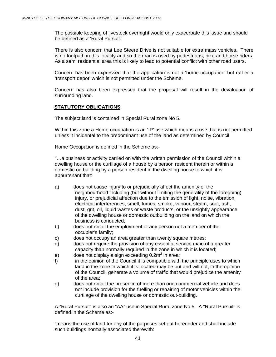The possible keeping of livestock overnight would only exacerbate this issue and should be defined as a 'Rural Pursuit.'

There is also concern that Lee Steere Drive is not suitable for extra mass vehicles. There is no footpath in this locality and so the road is used by pedestrians, bike and horse riders. As a semi residential area this is likely to lead to potential conflict with other road users.

Concern has been expressed that the application is not a 'home occupation' but rather a 'transport depot' which is not permitted under the Scheme.

Concern has also been expressed that the proposal will result in the devaluation of surrounding land.

#### **STATUTORY OBLIGATIONS**

The subject land is contained in Special Rural zone No 5.

Within this zone a Home occupation is an 'IP' use which means a use that is not permitted unless it incidental to the predominant use of the land as determined by Council.

Home Occupation is defined in the Scheme as:-

"…a business or activity carried on with the written permission of the Council within a dwelling house or the curtilage of a house by a person resident therein or within a domestic outbuilding by a person resident in the dwelling house to which it is appurtenant that:

- a) does not cause injury to or prejudicially affect the amenity of the neighbourhood including (but without limiting the generality of the foregoing) injury, or prejudicial affection due to the emission of light, noise, vibration, electrical interferences, smell, fumes, smoke, vapour, steam, soot, ash, dust, grit, oil, liquid wastes or waste products, or the unsightly appearance of the dwelling house or domestic outbuilding on the land on which the business is conducted;
- b) does not entail the employment of any person not a member of the occupier's family;
- c) does not occupy an area greater than twenty square metres;
- d) does not require the provision of any essential service main of a greater capacity than normally required in the zone in which it is located;
- e) does not display a sign exceeding  $0.2m^2$  in area;
- f) in the opinion of the Council it is compatible with the principle uses to which land in the zone in which it is located may be put and will not, in the opinion of the Council, generate a volume of traffic that would prejudice the amenity of the area;
- g) does not entail the presence of more than one commercial vehicle and does not include provision for the fuelling or repairing of motor vehicles within the curtilage of the dwelling house or domestic out-building.

A "Rural Pursuit" is also an "AA" use in Special Rural zone No 5. A "Rural Pursuit" is defined in the Scheme as:-

"means the use of land for any of the purposes set out hereunder and shall include such buildings normally associated therewith: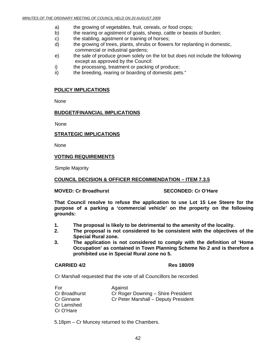- a) the growing of vegetables, fruit, cereals, or food crops;
- b) the rearing or agistment of goats, sheep, cattle or beasts of burden;
- c) the stabling, agistment or training of horses;
- d) the growing of trees, plants, shrubs or flowers for replanting in domestic, commercial or industrial gardens;
- e) the sale of produce grown solely on the lot but does not include the following except as approved by the Council:
- i) the processing, treatment or packing of produce;
- ii) the breeding, rearing or boarding of domestic pets."

#### **POLICY IMPLICATIONS**

None

#### **BUDGET/FINANCIAL IMPLICATIONS**

None

#### **STRATEGIC IMPLICATIONS**

None

#### **VOTING REQUIREMENTS**

Simple Majority

#### **COUNCIL DECISION & OFFICER RECOMMENDATION – ITEM 7.3.5**

#### **MOVED: Cr Broadhurst SECONDED: Cr O'Hare**

**That Council resolve to refuse the application to use Lot 15 Lee Steere for the purpose of a parking a 'commercial vehicle' on the property on the following grounds:** 

- **1. The proposal is likely to be detrimental to the amenity of the locality.**
- **2. The proposal is not considered to be consistent with the objectives of the Special Rural zone.**
- **3. The application is not considered to comply with the definition of 'Home Occupation' as contained in Town Planning Scheme No 2 and is therefore a prohibited use in Special Rural zone no 5.**

#### **CARRIED 4/2 Res 180/09**

Cr Marshall requested that the vote of all Councillors be recorded.

| For           | Against                              |
|---------------|--------------------------------------|
| Cr Broadhurst | Cr Roger Downing - Shire President   |
| Cr Ginnane    | Cr Peter Marshall - Deputy President |
| Cr Lamshed    |                                      |
| Cr O'Hare     |                                      |
|               |                                      |

5.18pm – Cr Muncey returned to the Chambers.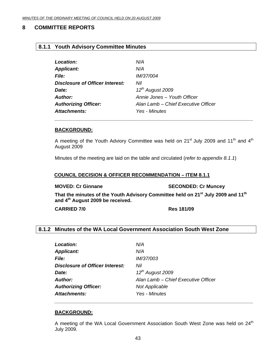#### <span id="page-42-0"></span>**8 COMMITTEE REPORTS**

#### **8.1.1 Youth Advisory Committee Minutes**

| Location:                              | N/A                                 |
|----------------------------------------|-------------------------------------|
| <b>Applicant:</b>                      | N/A                                 |
| <b>File:</b>                           | <i>IM/37/004</i>                    |
| <b>Disclosure of Officer Interest:</b> | Nil                                 |
| Date:                                  | $12^{th}$ August 2009               |
| Author:                                | Annie Jones - Youth Officer         |
| <b>Authorizing Officer:</b>            | Alan Lamb - Chief Executive Officer |
| <b>Attachments:</b>                    | Yes - Minutes                       |

 *\_\_\_\_\_\_\_\_\_\_\_\_\_\_\_\_\_\_\_\_\_\_\_\_\_\_\_\_\_\_\_\_\_\_\_\_\_\_\_\_\_\_\_\_\_\_\_\_\_\_\_\_\_\_\_\_\_\_\_\_\_\_\_\_\_\_\_\_\_\_\_\_* 

#### **BACKGROUND:**

A meeting of the Youth Adviory Committee was held on 21<sup>st</sup> July 2009 and 11<sup>th</sup> and 4<sup>th</sup> August 2009

Minutes of the meeting are laid on the table and circulated (*refer to appendix 8.1.1*)

#### **COUNCIL DECISION & OFFICER RECOMMENDATION – ITEM 8.1.1**

**MOVED: Cr Ginnane SECONDED: Cr Muncey** 

**That the minutes of the Youth Advisory Committee held on 21st July 2009 and 11th and 4th August 2009 be received.** 

**CARRIED 7/0 Res 181/09** 

#### **8.1.2 Minutes of the WA Local Government Association South West Zone**

| Location:                              | N/A                                 |
|----------------------------------------|-------------------------------------|
| <b>Applicant:</b>                      | N/A                                 |
| <i>File:</i>                           | <i>IM/37/003</i>                    |
| <b>Disclosure of Officer Interest:</b> | Nil                                 |
| Date:                                  | $12^{th}$ August 2009               |
| Author:                                | Alan Lamb - Chief Executive Officer |
| <b>Authorizing Officer:</b>            | <b>Not Applicable</b>               |
| <b>Attachments:</b>                    | Yes - Minutes                       |

#### **BACKGROUND:**

A meeting of the WA Local Government Association South West Zone was held on 24<sup>th</sup> July 2009.

 *\_\_\_\_\_\_\_\_\_\_\_\_\_\_\_\_\_\_\_\_\_\_\_\_\_\_\_\_\_\_\_\_\_\_\_\_\_\_\_\_\_\_\_\_\_\_\_\_\_\_\_\_\_\_\_\_\_\_\_\_\_\_\_\_\_\_\_\_\_\_\_\_*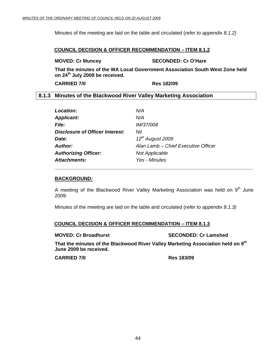<span id="page-43-0"></span>Minutes of the meeting are laid on the table and circulated (*refer to appendix 8.1.2)*

#### **COUNCIL DECISION & OFFICER RECOMMENDATION – ITEM 8.1.2**

**MOVED: Cr Muncey SECONDED: Cr O'Hare** 

**That the minutes of the WA Local Government Association South West Zone held on 24th July 2009 be received.** 

**CARRIED 7/0 Res 182/09** 

### **8.1.3 Minutes of the Blackwood River Valley Marketing Association**

| N/A                                 |
|-------------------------------------|
| N/A                                 |
| <i>IM/37/008</i>                    |
| Nil                                 |
| $12^{th}$ August 2009               |
| Alan Lamb – Chief Executive Officer |
| <b>Not Applicable</b>               |
| Yes - Minutes                       |
|                                     |

 *\_\_\_\_\_\_\_\_\_\_\_\_\_\_\_\_\_\_\_\_\_\_\_\_\_\_\_\_\_\_\_\_\_\_\_\_\_\_\_\_\_\_\_\_\_\_\_\_\_\_\_\_\_\_\_\_\_\_\_\_\_\_\_\_\_\_\_\_\_\_\_\_* 

#### **BACKGROUND:**

A meeting of the Blackwood River Valley Marketing Association was held on  $9<sup>th</sup>$  June 2009.

Minutes of the meeting are laid on the table and circulated (*refer to appendix 8.1.3)*

#### **COUNCIL DECISION & OFFICER RECOMMENDATION – ITEM 8.1.3**

#### **MOVED: Cr Broadhurst SECONDED: Cr Lamshed COVED: Cr Lamshed**

**That the minutes of the Blackwood River Valley Marketing Association held on 9th June 2009 be received.** 

**CARRIED 7/0 Res 183/09**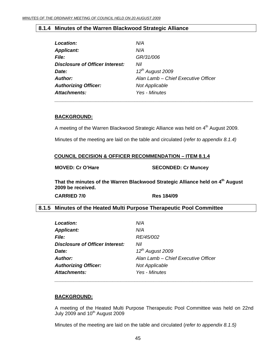#### <span id="page-44-0"></span>**8.1.4 Minutes of the Warren Blackwood Strategic Alliance**

| Location:                       | N/A                                 |
|---------------------------------|-------------------------------------|
| <b>Applicant:</b>               | N/A                                 |
| <b>File:</b>                    | GR/31/006                           |
| Disclosure of Officer Interest: | Nil                                 |
| Date:                           | $12^{th}$ August 2009               |
| Author:                         | Alan Lamb – Chief Executive Officer |
| <b>Authorizing Officer:</b>     | <b>Not Applicable</b>               |
| <b>Attachments:</b>             | Yes - Minutes                       |

 *\_\_\_\_\_\_\_\_\_\_\_\_\_\_\_\_\_\_\_\_\_\_\_\_\_\_\_\_\_\_\_\_\_\_\_\_\_\_\_\_\_\_\_\_\_\_\_\_\_\_\_\_\_\_\_\_\_\_\_\_\_\_\_\_\_\_\_\_\_\_\_\_* 

#### **BACKGROUND:**

A meeting of the Warren Blackwood Strategic Alliance was held on 4<sup>th</sup> August 2009.

Minutes of the meeting are laid on the table and circulated (*refer to appendix 8.1.4)* 

#### **COUNCIL DECISION & OFFICER RECOMMENDATION – ITEM 8.1.4**

**MOVED: Cr O'Hare SECONDED: Cr Muncey** 

**That the minutes of the Warren Blackwood Strategic Alliance held on 4th August 2009 be received.** 

**CARRIED 7/0 Res 184/09** 

#### **8.1.5 Minutes of the Heated Multi Purpose Therapeutic Pool Committee**

| N/A                                           |
|-----------------------------------------------|
| N/A                                           |
| RE/45/002                                     |
| <b>Disclosure of Officer Interest:</b><br>Nil |
| $12^{th}$ August 2009                         |
| Alan Lamb - Chief Executive Officer           |
| <b>Not Applicable</b>                         |
| Yes - Minutes                                 |
|                                               |

#### **BACKGROUND:**

A meeting of the Heated Multi Purpose Therapeutic Pool Committee was held on 22nd July 2009 and  $10<sup>th</sup>$  August 2009

Minutes of the meeting are laid on the table and circulated (*refer to appendix 8.1.5)*